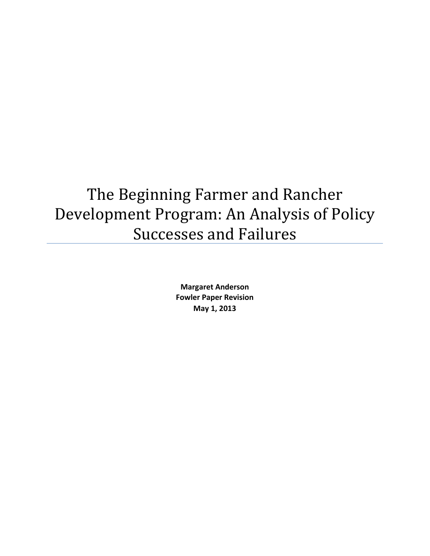# The Beginning Farmer and Rancher Development Program: An Analysis of Policy Successes and Failures

**Margaret Anderson Fowler Paper Revision May 1, 2013**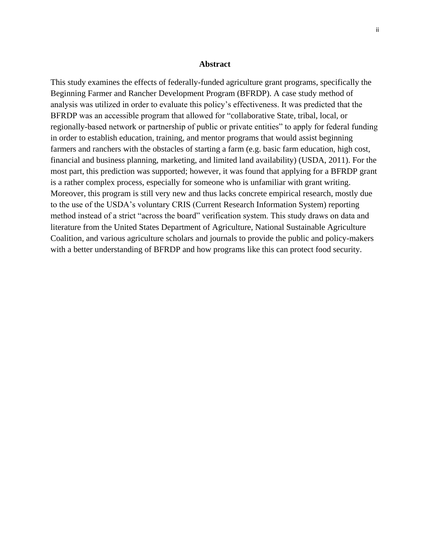#### **Abstract**

This study examines the effects of federally-funded agriculture grant programs, specifically the Beginning Farmer and Rancher Development Program (BFRDP). A case study method of analysis was utilized in order to evaluate this policy's effectiveness. It was predicted that the BFRDP was an accessible program that allowed for "collaborative State, tribal, local, or regionally-based network or partnership of public or private entities" to apply for federal funding in order to establish education, training, and mentor programs that would assist beginning farmers and ranchers with the obstacles of starting a farm (e.g. basic farm education, high cost, financial and business planning, marketing, and limited land availability) (USDA, 2011). For the most part, this prediction was supported; however, it was found that applying for a BFRDP grant is a rather complex process, especially for someone who is unfamiliar with grant writing. Moreover, this program is still very new and thus lacks concrete empirical research, mostly due to the use of the USDA's voluntary CRIS (Current Research Information System) reporting method instead of a strict "across the board" verification system. This study draws on data and literature from the United States Department of Agriculture, National Sustainable Agriculture Coalition, and various agriculture scholars and journals to provide the public and policy-makers with a better understanding of BFRDP and how programs like this can protect food security.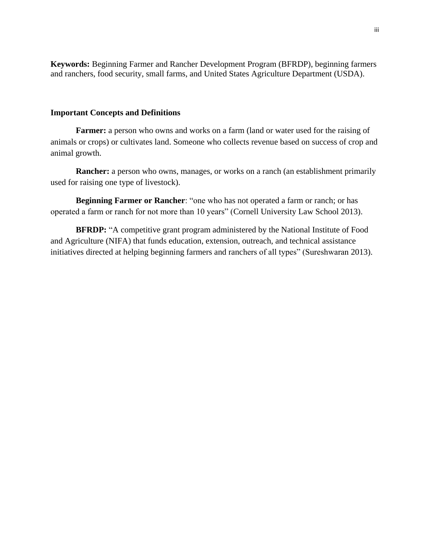**Keywords:** Beginning Farmer and Rancher Development Program (BFRDP), beginning farmers and ranchers, food security, small farms, and United States Agriculture Department (USDA).

### **Important Concepts and Definitions**

**Farmer:** a person who owns and works on a farm (land or water used for the raising of animals or crops) or cultivates land. Someone who collects revenue based on success of crop and animal growth.

**Rancher:** a person who owns, manages, or works on a ranch (an establishment primarily used for raising one type of livestock).

**Beginning Farmer or Rancher**: "one who has not operated a farm or ranch; or has operated a farm or ranch for not more than 10 years" (Cornell University Law School 2013).

**BFRDP:** "A competitive grant program administered by the National Institute of Food and Agriculture (NIFA) that funds education, extension, outreach, and technical assistance initiatives directed at helping beginning farmers and ranchers of all types" (Sureshwaran 2013).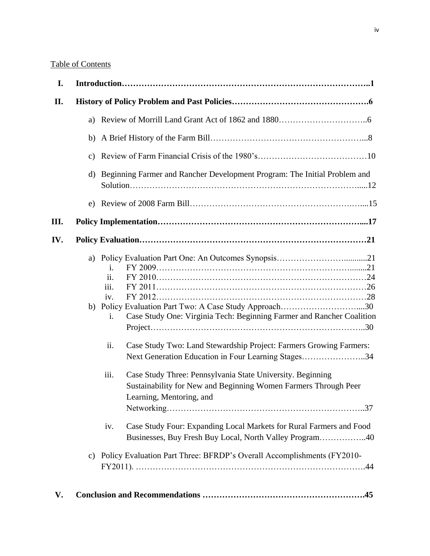### Table of Contents

| I.   |              |                                                                                                                                                                                                                                                                                                                                                                                                                  |  |
|------|--------------|------------------------------------------------------------------------------------------------------------------------------------------------------------------------------------------------------------------------------------------------------------------------------------------------------------------------------------------------------------------------------------------------------------------|--|
| II.  |              |                                                                                                                                                                                                                                                                                                                                                                                                                  |  |
|      | a)           |                                                                                                                                                                                                                                                                                                                                                                                                                  |  |
|      |              |                                                                                                                                                                                                                                                                                                                                                                                                                  |  |
|      |              |                                                                                                                                                                                                                                                                                                                                                                                                                  |  |
|      | $\mathbf{d}$ | Beginning Farmer and Rancher Development Program: The Initial Problem and                                                                                                                                                                                                                                                                                                                                        |  |
|      |              |                                                                                                                                                                                                                                                                                                                                                                                                                  |  |
| III. |              |                                                                                                                                                                                                                                                                                                                                                                                                                  |  |
| IV.  |              |                                                                                                                                                                                                                                                                                                                                                                                                                  |  |
|      |              | İ.<br>ii.<br>iii.<br>iv.<br>Case Study One: Virginia Tech: Beginning Farmer and Rancher Coalition<br>i.<br>ii.<br>Case Study Two: Land Stewardship Project: Farmers Growing Farmers:<br>Next Generation Education in Four Learning Stages34<br>Case Study Three: Pennsylvania State University. Beginning<br>iii.<br>Sustainability for New and Beginning Women Farmers Through Peer<br>Learning, Mentoring, and |  |
|      |              | Case Study Four: Expanding Local Markets for Rural Farmers and Food<br>iv.<br>Businesses, Buy Fresh Buy Local, North Valley Program40                                                                                                                                                                                                                                                                            |  |
|      |              | c) Policy Evaluation Part Three: BFRDP's Overall Accomplishments (FY2010-                                                                                                                                                                                                                                                                                                                                        |  |
| V.   |              |                                                                                                                                                                                                                                                                                                                                                                                                                  |  |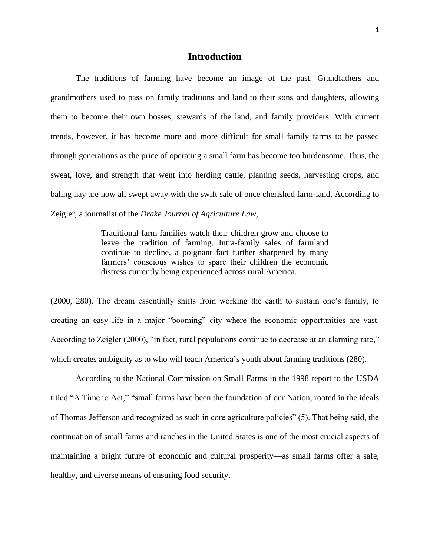### **Introduction**

The traditions of farming have become an image of the past. Grandfathers and grandmothers used to pass on family traditions and land to their sons and daughters, allowing them to become their own bosses, stewards of the land, and family providers. With current trends, however, it has become more and more difficult for small family farms to be passed through generations as the price of operating a small farm has become too burdensome. Thus, the sweat, love, and strength that went into herding cattle, planting seeds, harvesting crops, and baling hay are now all swept away with the swift sale of once cherished farm-land. According to Zeigler, a journalist of the *Drake Journal of Agriculture Law,* 

> Traditional farm families watch their children grow and choose to leave the tradition of farming. Intra-family sales of farmland continue to decline, a poignant fact further sharpened by many farmers' conscious wishes to spare their children the economic distress currently being experienced across rural America.

(2000, 280). The dream essentially shifts from working the earth to sustain one's family, to creating an easy life in a major "booming" city where the economic opportunities are vast. According to Zeigler (2000), "in fact, rural populations continue to decrease at an alarming rate," which creates ambiguity as to who will teach America's youth about farming traditions (280).

According to the National Commission on Small Farms in the 1998 report to the USDA titled "A Time to Act," "small farms have been the foundation of our Nation, rooted in the ideals of Thomas Jefferson and recognized as such in core agriculture policies" (5). That being said, the continuation of small farms and ranches in the United States is one of the most crucial aspects of maintaining a bright future of economic and cultural prosperity—as small farms offer a safe, healthy, and diverse means of ensuring food security.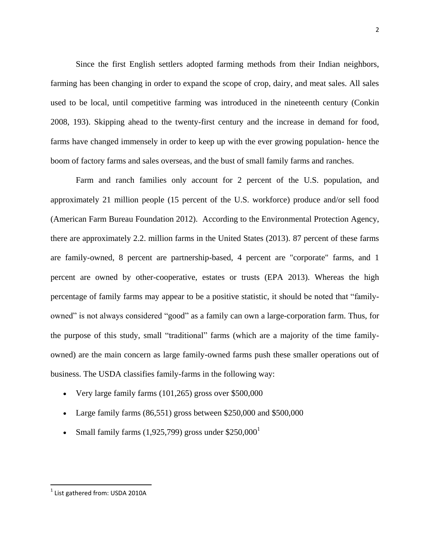Since the first English settlers adopted farming methods from their Indian neighbors, farming has been changing in order to expand the scope of crop, dairy, and meat sales. All sales used to be local, until competitive farming was introduced in the nineteenth century (Conkin 2008, 193). Skipping ahead to the twenty-first century and the increase in demand for food, farms have changed immensely in order to keep up with the ever growing population- hence the boom of factory farms and sales overseas, and the bust of small family farms and ranches.

Farm and ranch families only account for 2 percent of the U.S. population, and approximately 21 million people (15 percent of the U.S. workforce) produce and/or sell food (American Farm Bureau Foundation 2012). According to the Environmental Protection Agency, there are approximately 2.2. million farms in the United States (2013). 87 percent of these farms are family-owned, 8 percent are partnership-based, 4 percent are "corporate" farms, and 1 percent are owned by other-cooperative, estates or trusts (EPA 2013). Whereas the high percentage of family farms may appear to be a positive statistic, it should be noted that "familyowned" is not always considered "good" as a family can own a large-corporation farm. Thus, for the purpose of this study, small "traditional" farms (which are a majority of the time familyowned) are the main concern as large family-owned farms push these smaller operations out of business. The USDA classifies family-farms in the following way:

- Very large family farms  $(101,265)$  gross over \$500,000
- Large family farms  $(86,551)$  gross between \$250,000 and \$500,000
- Small family farms  $(1,925,799)$  gross under \$250,000<sup>1</sup>

 $^{1}$  List gathered from: USDA 2010A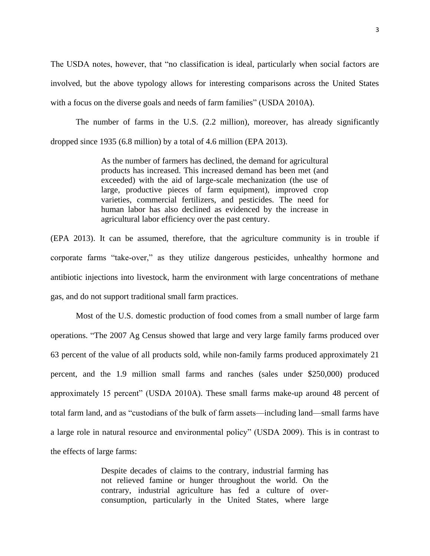The USDA notes, however, that "no classification is ideal, particularly when social factors are involved, but the above typology allows for interesting comparisons across the United States with a focus on the diverse goals and needs of farm families" (USDA 2010A).

The number of farms in the U.S. (2.2 million), moreover, has already significantly dropped since 1935 (6.8 million) by a total of 4.6 million (EPA 2013).

> As the number of farmers has declined, the demand for agricultural products has increased. This increased demand has been met (and exceeded) with the aid of large-scale mechanization (the use of large, productive pieces of farm equipment), improved crop varieties, commercial fertilizers, and pesticides. The need for human labor has also declined as evidenced by the increase in agricultural labor efficiency over the past century.

(EPA 2013). It can be assumed, therefore, that the agriculture community is in trouble if corporate farms "take-over," as they utilize dangerous pesticides, unhealthy hormone and antibiotic injections into livestock, harm the environment with large concentrations of methane gas, and do not support traditional small farm practices.

Most of the U.S. domestic production of food comes from a small number of large farm operations. "The 2007 Ag Census showed that large and very large family farms produced over 63 percent of the value of all products sold, while non-family farms produced approximately 21 percent, and the 1.9 million small farms and ranches (sales under \$250,000) produced approximately 15 percent" (USDA 2010A). These small farms make-up around 48 percent of total farm land, and as "custodians of the bulk of farm assets—including land—small farms have a large role in natural resource and environmental policy" (USDA 2009). This is in contrast to the effects of large farms:

> Despite decades of claims to the contrary, industrial farming has not relieved famine or hunger throughout the world. On the contrary, industrial agriculture has fed a culture of overconsumption, particularly in the United States, where large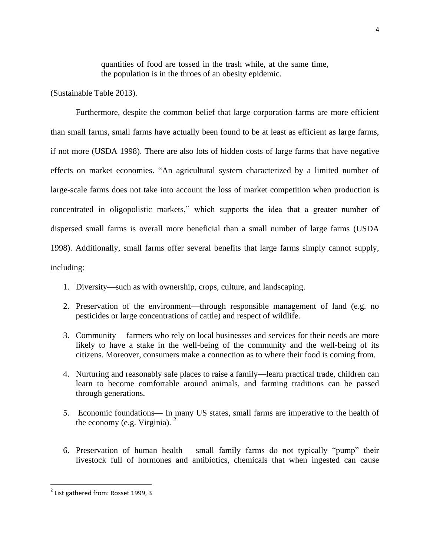quantities of food are tossed in the trash while, at the same time, the population is in the throes of an obesity epidemic.

(Sustainable Table 2013).

Furthermore, despite the common belief that large corporation farms are more efficient than small farms, small farms have actually been found to be at least as efficient as large farms, if not more (USDA 1998). There are also lots of hidden costs of large farms that have negative effects on market economies. "An agricultural system characterized by a limited number of large-scale farms does not take into account the loss of market competition when production is concentrated in oligopolistic markets," which supports the idea that a greater number of dispersed small farms is overall more beneficial than a small number of large farms (USDA 1998). Additionally, small farms offer several benefits that large farms simply cannot supply, including:

- 1. Diversity—such as with ownership, crops, culture, and landscaping.
- 2. Preservation of the environment—through responsible management of land (e.g. no pesticides or large concentrations of cattle) and respect of wildlife.
- 3. Community— farmers who rely on local businesses and services for their needs are more likely to have a stake in the well-being of the community and the well-being of its citizens. Moreover, consumers make a connection as to where their food is coming from.
- 4. Nurturing and reasonably safe places to raise a family—learn practical trade, children can learn to become comfortable around animals, and farming traditions can be passed through generations.
- 5. Economic foundations— In many US states, small farms are imperative to the health of the economy (e.g. Virginia).  $<sup>2</sup>$ </sup>
- 6. Preservation of human health— small family farms do not typically "pump" their livestock full of hormones and antibiotics, chemicals that when ingested can cause

<sup>&</sup>lt;u>.</u><br><sup>2</sup> List gathered from: Rosset 1999, 3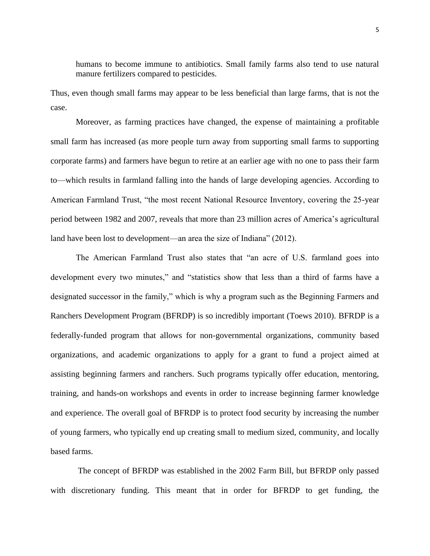humans to become immune to antibiotics. Small family farms also tend to use natural manure fertilizers compared to pesticides.

Thus, even though small farms may appear to be less beneficial than large farms, that is not the case.

Moreover, as farming practices have changed, the expense of maintaining a profitable small farm has increased (as more people turn away from supporting small farms to supporting corporate farms) and farmers have begun to retire at an earlier age with no one to pass their farm to—which results in farmland falling into the hands of large developing agencies. According to American Farmland Trust, "the most recent National Resource Inventory, covering the 25-year period between 1982 and 2007, reveals that more than 23 million acres of America's agricultural land have been lost to development—an area the size of Indiana" (2012).

The American Farmland Trust also states that "an acre of U.S. farmland goes into development every two minutes," and "statistics show that less than a third of farms have a designated successor in the family," which is why a program such as the Beginning Farmers and Ranchers Development Program (BFRDP) is so incredibly important (Toews 2010). BFRDP is a federally-funded program that allows for non-governmental organizations, community based organizations, and academic organizations to apply for a grant to fund a project aimed at assisting beginning farmers and ranchers. Such programs typically offer education, mentoring, training, and hands-on workshops and events in order to increase beginning farmer knowledge and experience. The overall goal of BFRDP is to protect food security by increasing the number of young farmers, who typically end up creating small to medium sized, community, and locally based farms.

The concept of BFRDP was established in the 2002 Farm Bill, but BFRDP only passed with discretionary funding. This meant that in order for BFRDP to get funding, the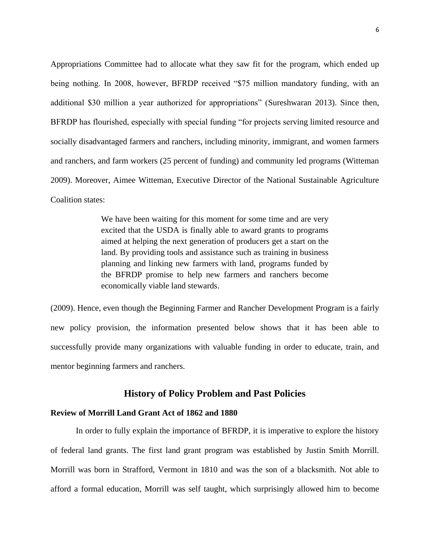Appropriations Committee had to allocate what they saw fit for the program, which ended up being nothing. In 2008, however, BFRDP received "\$75 million mandatory funding, with an additional \$30 million a year authorized for appropriations" (Sureshwaran 2013). Since then, BFRDP has flourished, especially with special funding "for projects serving limited resource and socially disadvantaged farmers and ranchers, including minority, immigrant, and women farmers and ranchers, and farm workers (25 percent of funding) and community led programs (Witteman 2009). Moreover, Aimee Witteman, Executive Director of the National Sustainable Agriculture Coalition states:

> We have been waiting for this moment for some time and are very excited that the USDA is finally able to award grants to programs aimed at helping the next generation of producers get a start on the land. By providing tools and assistance such as training in business planning and linking new farmers with land, programs funded by the BFRDP promise to help new farmers and ranchers become economically viable land stewards.

(2009). Hence, even though the Beginning Farmer and Rancher Development Program is a fairly new policy provision, the information presented below shows that it has been able to successfully provide many organizations with valuable funding in order to educate, train, and mentor beginning farmers and ranchers.

### **History of Policy Problem and Past Policies**

#### **Review of Morrill Land Grant Act of 1862 and 1880**

In order to fully explain the importance of BFRDP, it is imperative to explore the history of federal land grants. The first land grant program was established by Justin Smith Morrill. Morrill was born in Strafford, Vermont in 1810 and was the son of a blacksmith. Not able to afford a formal education, Morrill was self taught, which surprisingly allowed him to become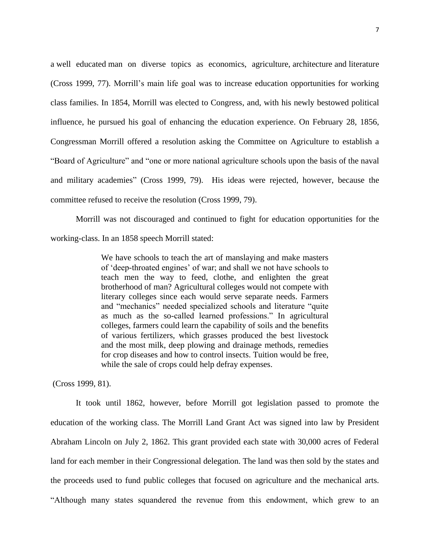a well educated man on diverse topics as economics, agriculture, architecture and literature (Cross 1999, 77). Morrill's main life goal was to increase education opportunities for working class families. In 1854, Morrill was elected to Congress, and, with his newly bestowed political influence, he pursued his goal of enhancing the education experience. On February 28, 1856, Congressman Morrill offered a resolution asking the Committee on Agriculture to establish a "Board of Agriculture" and "one or more national agriculture schools upon the basis of the naval and military academies" (Cross 1999, 79). His ideas were rejected, however, because the committee refused to receive the resolution (Cross 1999, 79).

Morrill was not discouraged and continued to fight for education opportunities for the working-class. In an 1858 speech Morrill stated:

> We have schools to teach the art of manslaying and make masters of 'deep-throated engines' of war; and shall we not have schools to teach men the way to feed, clothe, and enlighten the great brotherhood of man? Agricultural colleges would not compete with literary colleges since each would serve separate needs. Farmers and "mechanics" needed specialized schools and literature "quite as much as the so-called learned professions." In agricultural colleges, farmers could learn the capability of soils and the benefits of various fertilizers, which grasses produced the best livestock and the most milk, deep plowing and drainage methods, remedies for crop diseases and how to control insects. Tuition would be free, while the sale of crops could help defray expenses.

(Cross 1999, 81).

It took until 1862, however, before Morrill got legislation passed to promote the education of the working class. The Morrill Land Grant Act was signed into law by President Abraham Lincoln on July 2, 1862. This grant provided each state with 30,000 acres of Federal land for each member in their Congressional delegation. The land was then sold by the states and the proceeds used to fund public colleges that focused on agriculture and the mechanical arts. "Although many states squandered the revenue from this endowment, which grew to an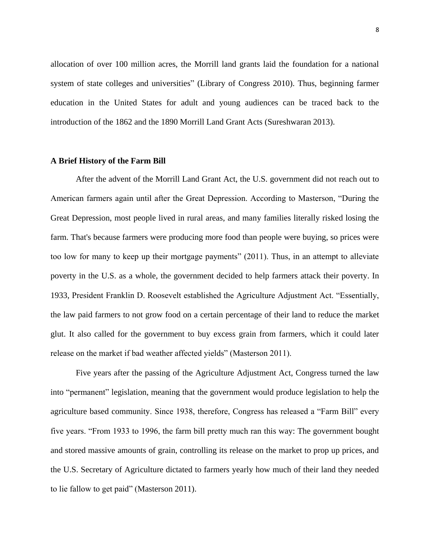allocation of over 100 million acres, the Morrill land grants laid the foundation for a national system of state colleges and universities" (Library of Congress 2010). Thus, beginning farmer education in the United States for adult and young audiences can be traced back to the introduction of the 1862 and the 1890 Morrill Land Grant Acts (Sureshwaran 2013).

### **A Brief History of the Farm Bill**

After the advent of the Morrill Land Grant Act, the U.S. government did not reach out to American farmers again until after the Great Depression. According to Masterson, "During the Great Depression, most people lived in rural areas, and many families literally risked losing the farm. That's because farmers were producing more food than people were buying, so prices were too low for many to keep up their mortgage payments" (2011). Thus, in an attempt to alleviate poverty in the U.S. as a whole, the government decided to help farmers attack their poverty. In 1933, President Franklin D. Roosevelt established the Agriculture Adjustment Act. "Essentially, the law paid farmers to not grow food on a certain percentage of their land to reduce the market glut. It also called for the government to buy excess grain from farmers, which it could later release on the market if bad weather affected yields" (Masterson 2011).

Five years after the passing of the Agriculture Adjustment Act, Congress turned the law into "permanent" legislation, meaning that the government would produce legislation to help the agriculture based community. Since 1938, therefore, Congress has released a "Farm Bill" every five years. "From 1933 to 1996, the farm bill pretty much ran this way: The government bought and stored massive amounts of grain, controlling its release on the market to prop up prices, and the U.S. Secretary of Agriculture dictated to farmers yearly how much of their land they needed to lie fallow to get paid" (Masterson 2011).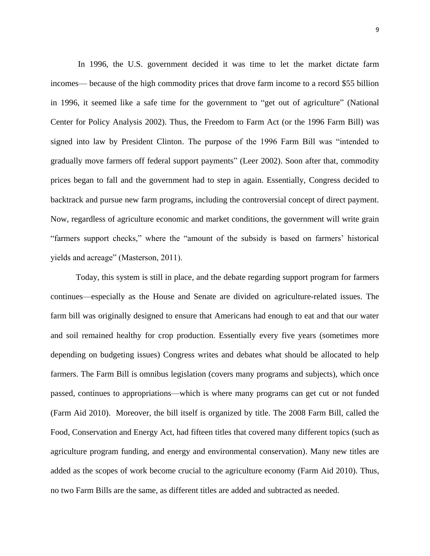In 1996, the U.S. government decided it was time to let the market dictate farm incomes— because of the high commodity prices that drove farm income to a record \$55 billion in 1996, it seemed like a safe time for the government to "get out of agriculture" (National Center for Policy Analysis 2002). Thus, the Freedom to Farm Act (or the 1996 Farm Bill) was signed into law by President Clinton. The purpose of the 1996 Farm Bill was "intended to gradually move farmers off federal support payments" (Leer 2002). Soon after that, commodity prices began to fall and the government had to step in again. Essentially, Congress decided to backtrack and pursue new farm programs, including the controversial concept of direct payment. Now, regardless of agriculture economic and market conditions, the government will write grain "farmers support checks," where the "amount of the subsidy is based on farmers' historical yields and acreage" (Masterson, 2011).

Today, this system is still in place, and the debate regarding support program for farmers continues—especially as the House and Senate are divided on agriculture-related issues. The farm bill was originally designed to ensure that Americans had enough to eat and that our water and soil remained healthy for crop production. Essentially every five years (sometimes more depending on budgeting issues) Congress writes and debates what should be allocated to help farmers. The Farm Bill is omnibus legislation (covers many programs and subjects), which once passed, continues to appropriations—which is where many programs can get cut or not funded (Farm Aid 2010). Moreover, the bill itself is organized by title. The 2008 Farm Bill, called the Food, Conservation and Energy Act, had fifteen titles that covered many different topics (such as agriculture program funding, and energy and environmental conservation). Many new titles are added as the scopes of work become crucial to the agriculture economy (Farm Aid 2010). Thus, no two Farm Bills are the same, as different titles are added and subtracted as needed.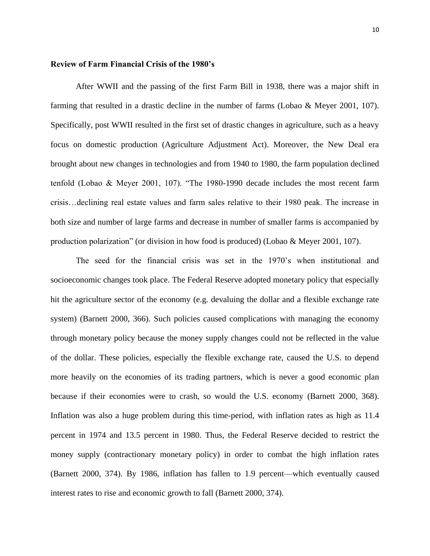#### **Review of Farm Financial Crisis of the 1980's**

After WWII and the passing of the first Farm Bill in 1938, there was a major shift in farming that resulted in a drastic decline in the number of farms (Lobao & Meyer 2001, 107). Specifically, post WWII resulted in the first set of drastic changes in agriculture, such as a heavy focus on domestic production (Agriculture Adjustment Act). Moreover, the New Deal era brought about new changes in technologies and from 1940 to 1980, the farm population declined tenfold (Lobao & Meyer 2001, 107). "The 1980-1990 decade includes the most recent farm crisis…declining real estate values and farm sales relative to their 1980 peak. The increase in both size and number of large farms and decrease in number of smaller farms is accompanied by production polarization" (or division in how food is produced) (Lobao & Meyer 2001, 107).

The seed for the financial crisis was set in the 1970's when institutional and socioeconomic changes took place. The Federal Reserve adopted monetary policy that especially hit the agriculture sector of the economy (e.g. devaluing the dollar and a flexible exchange rate system) (Barnett 2000, 366). Such policies caused complications with managing the economy through monetary policy because the money supply changes could not be reflected in the value of the dollar. These policies, especially the flexible exchange rate, caused the U.S. to depend more heavily on the economies of its trading partners, which is never a good economic plan because if their economies were to crash, so would the U.S. economy (Barnett 2000, 368). Inflation was also a huge problem during this time-period, with inflation rates as high as 11.4 percent in 1974 and 13.5 percent in 1980. Thus, the Federal Reserve decided to restrict the money supply (contractionary monetary policy) in order to combat the high inflation rates (Barnett 2000, 374). By 1986, inflation has fallen to 1.9 percent—which eventually caused interest rates to rise and economic growth to fall (Barnett 2000, 374).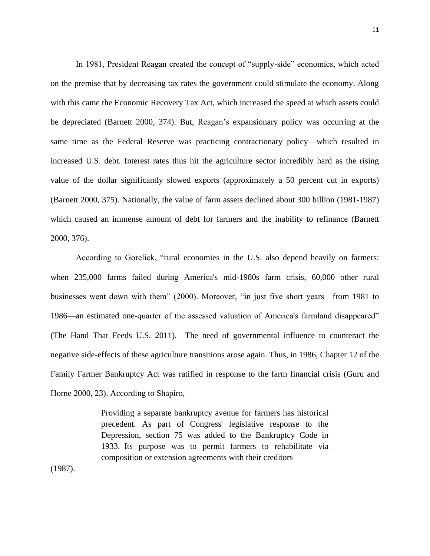In 1981, President Reagan created the concept of "supply-side" economics, which acted on the premise that by decreasing tax rates the government could stimulate the economy. Along with this came the Economic Recovery Tax Act, which increased the speed at which assets could be depreciated (Barnett 2000, 374). But, Reagan's expansionary policy was occurring at the same time as the Federal Reserve was practicing contractionary policy—which resulted in increased U.S. debt. Interest rates thus hit the agriculture sector incredibly hard as the rising value of the dollar significantly slowed exports (approximately a 50 percent cut in exports) (Barnett 2000, 375). Nationally, the value of farm assets declined about 300 billion (1981-1987) which caused an immense amount of debt for farmers and the inability to refinance (Barnett 2000, 376).

According to Gorelick, "rural economies in the U.S. also depend heavily on farmers: when 235,000 farms failed during America's mid-1980s farm crisis, 60,000 other rural businesses went down with them" (2000). Moreover, "in just five short years—from 1981 to 1986—an estimated one-quarter of the assessed valuation of America's farmland disappeared" (The Hand That Feeds U.S. 2011). The need of governmental influence to counteract the negative side-effects of these agriculture transitions arose again. Thus, in 1986, Chapter 12 of the Family Farmer Bankruptcy Act was ratified in response to the farm financial crisis (Guru and Horne 2000, 23). According to Shapiro,

> Providing a separate bankruptcy avenue for farmers has historical precedent. As part of Congress' legislative response to the Depression, section 75 was added to the Bankruptcy Code in 1933. Its purpose was to permit farmers to rehabilitate via composition or extension agreements with their creditors

(1987).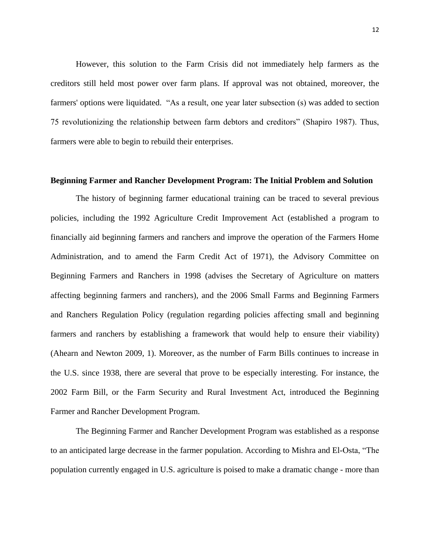However, this solution to the Farm Crisis did not immediately help farmers as the creditors still held most power over farm plans. If approval was not obtained, moreover, the farmers' options were liquidated. "As a result, one year later subsection (s) was added to section 75 revolutionizing the relationship between farm debtors and creditors" (Shapiro 1987). Thus, farmers were able to begin to rebuild their enterprises.

#### **Beginning Farmer and Rancher Development Program: The Initial Problem and Solution**

The history of beginning farmer educational training can be traced to several previous policies, including the 1992 Agriculture Credit Improvement Act (established a program to financially aid beginning farmers and ranchers and improve the operation of the Farmers Home Administration, and to amend the Farm Credit Act of 1971), the Advisory Committee on Beginning Farmers and Ranchers in 1998 (advises the Secretary of Agriculture on matters affecting beginning farmers and ranchers), and the 2006 Small Farms and Beginning Farmers and Ranchers Regulation Policy (regulation regarding policies affecting small and beginning farmers and ranchers by establishing a framework that would help to ensure their viability) (Ahearn and Newton 2009, 1). Moreover, as the number of Farm Bills continues to increase in the U.S. since 1938, there are several that prove to be especially interesting. For instance, the 2002 Farm Bill, or the Farm Security and Rural Investment Act, introduced the Beginning Farmer and Rancher Development Program.

The Beginning Farmer and Rancher Development Program was established as a response to an anticipated large decrease in the farmer population. According to Mishra and El-Osta, "The population currently engaged in U.S. agriculture is poised to make a dramatic change - more than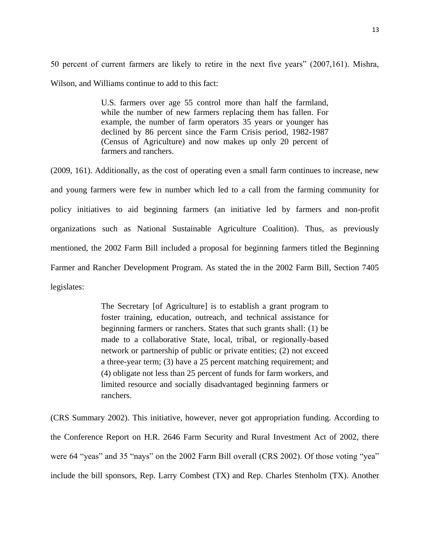50 percent of current farmers are likely to retire in the next five years" (2007,161). Mishra, Wilson, and Williams continue to add to this fact:

> U.S. farmers over age 55 control more than half the farmland, while the number of new farmers replacing them has fallen. For example, the number of farm operators 35 years or younger has declined by 86 percent since the Farm Crisis period, 1982-1987 (Census of Agriculture) and now makes up only 20 percent of farmers and ranchers.

(2009, 161). Additionally, as the cost of operating even a small farm continues to increase, new and young farmers were few in number which led to a call from the farming community for policy initiatives to aid beginning farmers (an initiative led by farmers and non-profit organizations such as National Sustainable Agriculture Coalition). Thus, as previously mentioned, the 2002 Farm Bill included a proposal for beginning farmers titled the Beginning Farmer and Rancher Development Program. As stated the in the 2002 Farm Bill, Section 7405 legislates:

> The Secretary [of Agriculture] is to establish a grant program to foster training, education, outreach, and technical assistance for beginning farmers or ranchers. States that such grants shall: (1) be made to a collaborative State, local, tribal, or regionally-based network or partnership of public or private entities; (2) not exceed a three-year term; (3) have a 25 percent matching requirement; and (4) obligate not less than 25 percent of funds for farm workers, and limited resource and socially disadvantaged beginning farmers or ranchers.

(CRS Summary 2002). This initiative, however, never got appropriation funding. According to the Conference Report on H.R. 2646 Farm Security and Rural Investment Act of 2002, there were 64 "yeas" and 35 "nays" on the 2002 Farm Bill overall (CRS 2002). Of those voting "yea" include the bill sponsors, Rep. Larry Combest (TX) and Rep. Charles Stenholm (TX). Another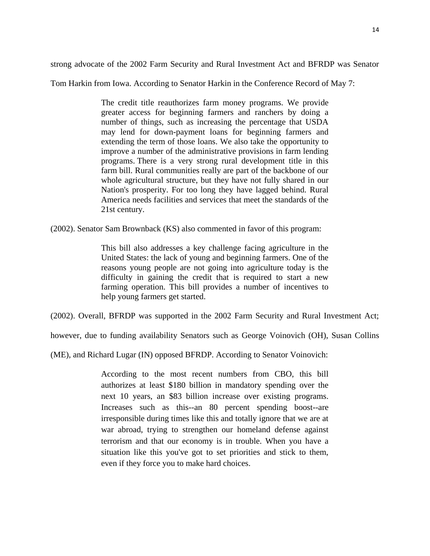strong advocate of the 2002 Farm Security and Rural Investment Act and BFRDP was Senator

Tom Harkin from Iowa. According to Senator Harkin in the Conference Record of May 7:

The credit title reauthorizes farm money programs. We provide greater access for beginning farmers and ranchers by doing a number of things, such as increasing the percentage that USDA may lend for down-payment loans for beginning farmers and extending the term of those loans. We also take the opportunity to improve a number of the administrative provisions in farm lending programs. There is a very strong rural development title in this farm bill. Rural communities really are part of the backbone of our whole agricultural structure, but they have not fully shared in our Nation's prosperity. For too long they have lagged behind. Rural America needs facilities and services that meet the standards of the 21st century.

(2002). Senator Sam Brownback (KS) also commented in favor of this program:

This bill also addresses a key challenge facing agriculture in the United States: the lack of young and beginning farmers. One of the reasons young people are not going into agriculture today is the difficulty in gaining the credit that is required to start a new farming operation. This bill provides a number of incentives to help young farmers get started.

(2002). Overall, BFRDP was supported in the 2002 Farm Security and Rural Investment Act;

however, due to funding availability Senators such as George Voinovich (OH), Susan Collins

(ME), and Richard Lugar (IN) opposed BFRDP. According to Senator Voinovich:

According to the most recent numbers from CBO, this bill authorizes at least \$180 billion in mandatory spending over the next 10 years, an \$83 billion increase over existing programs. Increases such as this--an 80 percent spending boost--are irresponsible during times like this and totally ignore that we are at war abroad, trying to strengthen our homeland defense against terrorism and that our economy is in trouble. When you have a situation like this you've got to set priorities and stick to them, even if they force you to make hard choices.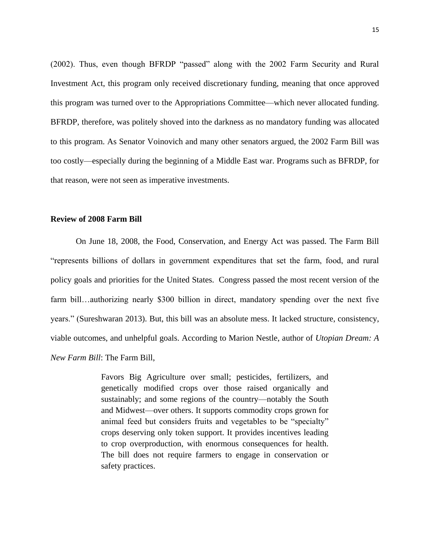(2002). Thus, even though BFRDP "passed" along with the 2002 Farm Security and Rural Investment Act, this program only received discretionary funding, meaning that once approved this program was turned over to the Appropriations Committee—which never allocated funding. BFRDP, therefore, was politely shoved into the darkness as no mandatory funding was allocated to this program. As Senator Voinovich and many other senators argued, the 2002 Farm Bill was too costly—especially during the beginning of a Middle East war. Programs such as BFRDP, for that reason, were not seen as imperative investments.

#### **Review of 2008 Farm Bill**

On June 18, 2008, the Food, Conservation, and Energy Act was passed. The Farm Bill "represents billions of dollars in government expenditures that set the farm, food, and rural policy goals and priorities for the United States. Congress passed the most recent version of the farm bill…authorizing nearly \$300 billion in direct, mandatory spending over the next five years." (Sureshwaran 2013). But, this bill was an absolute mess. It lacked structure, consistency, viable outcomes, and unhelpful goals. According to Marion Nestle, author of *Utopian Dream: A New Farm Bill*: The Farm Bill,

> Favors Big Agriculture over small; pesticides, fertilizers, and genetically modified crops over those raised organically and sustainably; and some regions of the country—notably the South and Midwest—over others. It supports commodity crops grown for animal feed but considers fruits and vegetables to be "specialty" crops deserving only token support. It provides incentives leading to crop overproduction, with enormous consequences for health. The bill does not require farmers to engage in conservation or safety practices.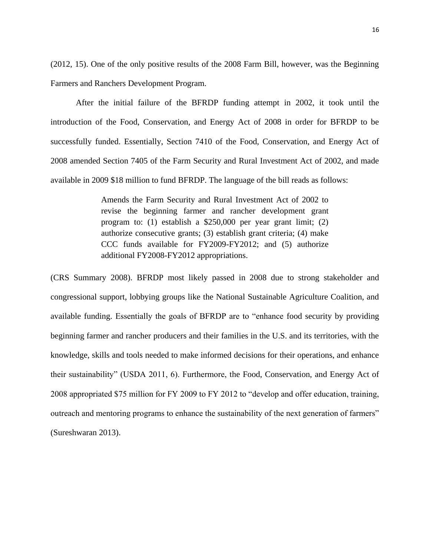(2012, 15). One of the only positive results of the 2008 Farm Bill, however, was the Beginning Farmers and Ranchers Development Program.

After the initial failure of the BFRDP funding attempt in 2002, it took until the introduction of the Food, Conservation, and Energy Act of 2008 in order for BFRDP to be successfully funded. Essentially, Section 7410 of the Food, Conservation, and Energy Act of 2008 amended Section 7405 of the Farm Security and Rural Investment Act of 2002, and made available in 2009 \$18 million to fund BFRDP. The language of the bill reads as follows:

> Amends the Farm Security and Rural Investment Act of 2002 to revise the beginning farmer and rancher development grant program to: (1) establish a \$250,000 per year grant limit; (2) authorize consecutive grants; (3) establish grant criteria; (4) make CCC funds available for FY2009-FY2012; and (5) authorize additional FY2008-FY2012 appropriations.

(CRS Summary 2008). BFRDP most likely passed in 2008 due to strong stakeholder and congressional support, lobbying groups like the National Sustainable Agriculture Coalition, and available funding. Essentially the goals of BFRDP are to "enhance food security by providing beginning farmer and rancher producers and their families in the U.S. and its territories, with the knowledge, skills and tools needed to make informed decisions for their operations, and enhance their sustainability" (USDA 2011, 6). Furthermore, the Food, Conservation, and Energy Act of 2008 appropriated \$75 million for FY 2009 to FY 2012 to "develop and offer education, training, outreach and mentoring programs to enhance the sustainability of the next generation of farmers" (Sureshwaran 2013).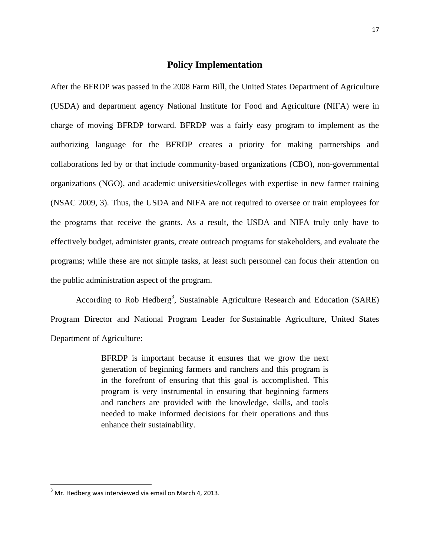### **Policy Implementation**

After the BFRDP was passed in the 2008 Farm Bill, the United States Department of Agriculture (USDA) and department agency National Institute for Food and Agriculture (NIFA) were in charge of moving BFRDP forward. BFRDP was a fairly easy program to implement as the authorizing language for the BFRDP creates a priority for making partnerships and collaborations led by or that include community-based organizations (CBO), non-governmental organizations (NGO), and academic universities/colleges with expertise in new farmer training (NSAC 2009, 3). Thus, the USDA and NIFA are not required to oversee or train employees for the programs that receive the grants. As a result, the USDA and NIFA truly only have to effectively budget, administer grants, create outreach programs for stakeholders, and evaluate the programs; while these are not simple tasks, at least such personnel can focus their attention on the public administration aspect of the program.

According to Rob Hedberg<sup>3</sup>, Sustainable Agriculture Research and Education (SARE) Program Director and National Program Leader for Sustainable Agriculture, United States Department of Agriculture:

> BFRDP is important because it ensures that we grow the next generation of beginning farmers and ranchers and this program is in the forefront of ensuring that this goal is accomplished. This program is very instrumental in ensuring that beginning farmers and ranchers are provided with the knowledge, skills, and tools needed to make informed decisions for their operations and thus enhance their sustainability.

 $3$  Mr. Hedberg was interviewed via email on March 4, 2013.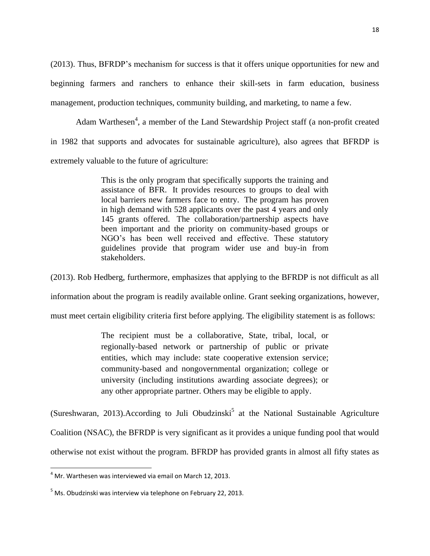(2013). Thus, BFRDP's mechanism for success is that it offers unique opportunities for new and beginning farmers and ranchers to enhance their skill-sets in farm education, business management, production techniques, community building, and marketing, to name a few.

Adam Warthesen<sup>4</sup>, a member of the Land Stewardship Project staff (a non-profit created in 1982 that supports and advocates for sustainable agriculture), also agrees that BFRDP is extremely valuable to the future of agriculture:

> This is the only program that specifically supports the training and assistance of BFR. It provides resources to groups to deal with local barriers new farmers face to entry. The program has proven in high demand with 528 applicants over the past 4 years and only 145 grants offered. The collaboration/partnership aspects have been important and the priority on community-based groups or NGO's has been well received and effective. These statutory guidelines provide that program wider use and buy-in from stakeholders.

(2013). Rob Hedberg, furthermore, emphasizes that applying to the BFRDP is not difficult as all

information about the program is readily available online. Grant seeking organizations, however,

must meet certain eligibility criteria first before applying. The eligibility statement is as follows:

The recipient must be a collaborative, State, tribal, local, or regionally-based network or partnership of public or private entities, which may include: state cooperative extension service; community-based and nongovernmental organization; college or university (including institutions awarding associate degrees); or any other appropriate partner. Others may be eligible to apply.

(Sureshwaran, 2013). According to Juli Obudzinski<sup>5</sup> at the National Sustainable Agriculture Coalition (NSAC), the BFRDP is very significant as it provides a unique funding pool that would otherwise not exist without the program. BFRDP has provided grants in almost all fifty states as

l

 $^4$  Mr. Warthesen was interviewed via email on March 12, 2013.

<sup>&</sup>lt;sup>5</sup> Ms. Obudzinski was interview via telephone on February 22, 2013.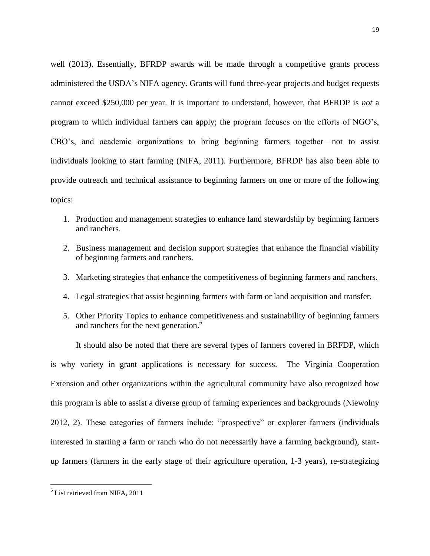well (2013). Essentially, BFRDP awards will be made through a competitive grants process administered the USDA's NIFA agency. Grants will fund three-year projects and budget requests cannot exceed \$250,000 per year. It is important to understand, however, that BFRDP is *not* a program to which individual farmers can apply; the program focuses on the efforts of NGO's, CBO's, and academic organizations to bring beginning farmers together—not to assist individuals looking to start farming (NIFA, 2011). Furthermore, BFRDP has also been able to provide outreach and technical assistance to beginning farmers on one or more of the following topics:

- 1. Production and management strategies to enhance land stewardship by beginning farmers and ranchers.
- 2. Business management and decision support strategies that enhance the financial viability of beginning farmers and ranchers.
- 3. Marketing strategies that enhance the competitiveness of beginning farmers and ranchers.
- 4. Legal strategies that assist beginning farmers with farm or land acquisition and transfer.
- 5. Other Priority Topics to enhance competitiveness and sustainability of beginning farmers and ranchers for the next generation.<sup>6</sup>

It should also be noted that there are several types of farmers covered in BRFDP, which is why variety in grant applications is necessary for success. The Virginia Cooperation Extension and other organizations within the agricultural community have also recognized how this program is able to assist a diverse group of farming experiences and backgrounds (Niewolny 2012, 2). These categories of farmers include: "prospective" or explorer farmers (individuals interested in starting a farm or ranch who do not necessarily have a farming background), startup farmers (farmers in the early stage of their agriculture operation, 1-3 years), re-strategizing

<sup>&</sup>lt;sup>6</sup> List retrieved from NIFA, 2011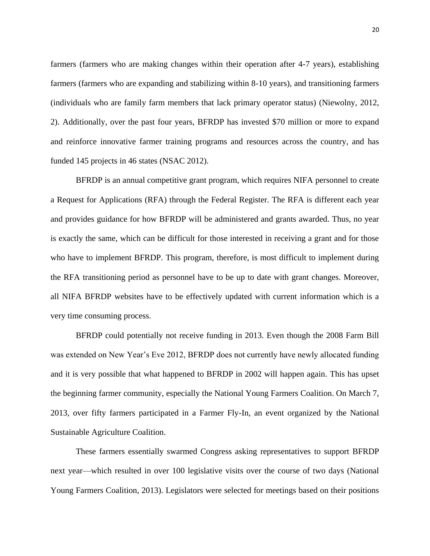farmers (farmers who are making changes within their operation after 4-7 years), establishing farmers (farmers who are expanding and stabilizing within 8-10 years), and transitioning farmers (individuals who are family farm members that lack primary operator status) (Niewolny, 2012, 2). Additionally, over the past four years, BFRDP has invested \$70 million or more to expand and reinforce innovative farmer training programs and resources across the country, and has funded 145 projects in 46 states (NSAC 2012).

BFRDP is an annual competitive grant program, which requires NIFA personnel to create a Request for Applications (RFA) through the Federal Register. The RFA is different each year and provides guidance for how BFRDP will be administered and grants awarded. Thus, no year is exactly the same, which can be difficult for those interested in receiving a grant and for those who have to implement BFRDP. This program, therefore, is most difficult to implement during the RFA transitioning period as personnel have to be up to date with grant changes. Moreover, all NIFA BFRDP websites have to be effectively updated with current information which is a very time consuming process.

BFRDP could potentially not receive funding in 2013. Even though the 2008 Farm Bill was extended on New Year's Eve 2012, BFRDP does not currently have newly allocated funding and it is very possible that what happened to BFRDP in 2002 will happen again. This has upset the beginning farmer community, especially the National Young Farmers Coalition. On March 7, 2013, over fifty farmers participated in a Farmer Fly-In, an event organized by the National Sustainable Agriculture Coalition.

These farmers essentially swarmed Congress asking representatives to support BFRDP next year—which resulted in over 100 legislative visits over the course of two days (National Young Farmers Coalition, 2013). Legislators were selected for meetings based on their positions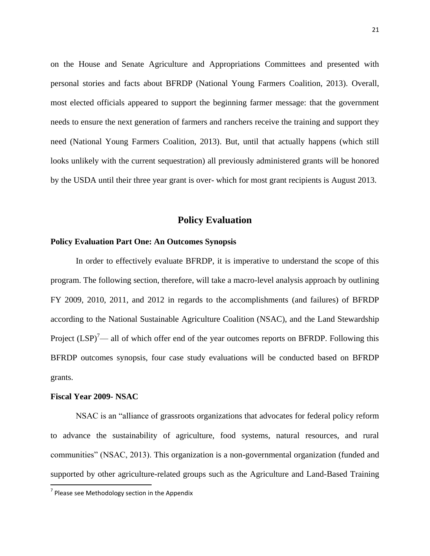on the House and Senate Agriculture and Appropriations Committees and presented with personal stories and facts about BFRDP (National Young Farmers Coalition, 2013). Overall, most elected officials appeared to support the beginning farmer message: that the government needs to ensure the next generation of farmers and ranchers receive the training and support they need (National Young Farmers Coalition, 2013). But, until that actually happens (which still looks unlikely with the current sequestration) all previously administered grants will be honored by the USDA until their three year grant is over- which for most grant recipients is August 2013.

### **Policy Evaluation**

### **Policy Evaluation Part One: An Outcomes Synopsis**

In order to effectively evaluate BFRDP, it is imperative to understand the scope of this program. The following section, therefore, will take a macro-level analysis approach by outlining FY 2009, 2010, 2011, and 2012 in regards to the accomplishments (and failures) of BFRDP according to the National Sustainable Agriculture Coalition (NSAC), and the Land Stewardship Project  $(LSP)^7$ — all of which offer end of the year outcomes reports on BFRDP. Following this BFRDP outcomes synopsis, four case study evaluations will be conducted based on BFRDP grants.

### **Fiscal Year 2009- NSAC**

 $\overline{\phantom{a}}$ 

NSAC is an "alliance of grassroots organizations that advocates for federal policy reform to advance the sustainability of agriculture, food systems, natural resources, and rural communities" (NSAC, 2013). This organization is a non-governmental organization (funded and supported by other agriculture-related groups such as the Agriculture and Land-Based Training

 $7$  Please see Methodology section in the Appendix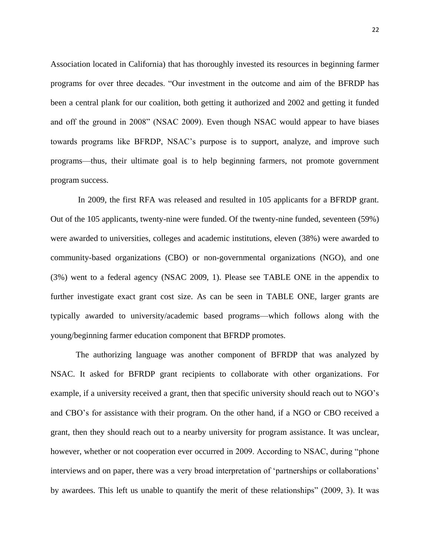Association located in California) that has thoroughly invested its resources in beginning farmer programs for over three decades. "Our investment in the outcome and aim of the BFRDP has been a central plank for our coalition, both getting it authorized and 2002 and getting it funded and off the ground in 2008" (NSAC 2009). Even though NSAC would appear to have biases towards programs like BFRDP, NSAC's purpose is to support, analyze, and improve such programs—thus, their ultimate goal is to help beginning farmers, not promote government program success.

In 2009, the first RFA was released and resulted in 105 applicants for a BFRDP grant. Out of the 105 applicants, twenty-nine were funded. Of the twenty-nine funded, seventeen (59%) were awarded to universities, colleges and academic institutions, eleven (38%) were awarded to community-based organizations (CBO) or non-governmental organizations (NGO), and one (3%) went to a federal agency (NSAC 2009, 1). Please see TABLE ONE in the appendix to further investigate exact grant cost size. As can be seen in TABLE ONE, larger grants are typically awarded to university/academic based programs—which follows along with the young/beginning farmer education component that BFRDP promotes.

The authorizing language was another component of BFRDP that was analyzed by NSAC. It asked for BFRDP grant recipients to collaborate with other organizations. For example, if a university received a grant, then that specific university should reach out to NGO's and CBO's for assistance with their program. On the other hand, if a NGO or CBO received a grant, then they should reach out to a nearby university for program assistance. It was unclear, however, whether or not cooperation ever occurred in 2009. According to NSAC, during "phone interviews and on paper, there was a very broad interpretation of 'partnerships or collaborations' by awardees. This left us unable to quantify the merit of these relationships" (2009, 3). It was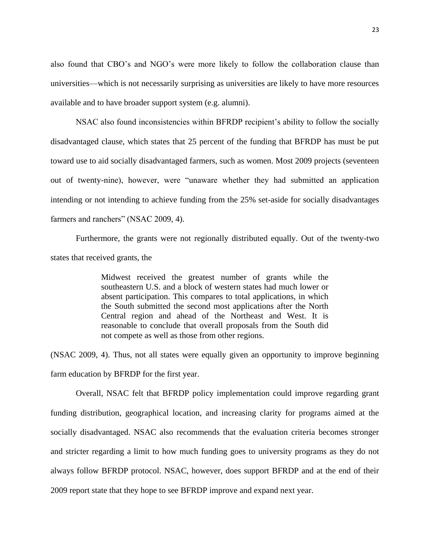also found that CBO's and NGO's were more likely to follow the collaboration clause than universities—which is not necessarily surprising as universities are likely to have more resources available and to have broader support system (e.g. alumni).

NSAC also found inconsistencies within BFRDP recipient's ability to follow the socially disadvantaged clause, which states that 25 percent of the funding that BFRDP has must be put toward use to aid socially disadvantaged farmers, such as women. Most 2009 projects (seventeen out of twenty-nine), however, were "unaware whether they had submitted an application intending or not intending to achieve funding from the 25% set-aside for socially disadvantages farmers and ranchers" (NSAC 2009, 4).

Furthermore, the grants were not regionally distributed equally. Out of the twenty-two states that received grants, the

> Midwest received the greatest number of grants while the southeastern U.S. and a block of western states had much lower or absent participation. This compares to total applications, in which the South submitted the second most applications after the North Central region and ahead of the Northeast and West. It is reasonable to conclude that overall proposals from the South did not compete as well as those from other regions.

(NSAC 2009, 4). Thus, not all states were equally given an opportunity to improve beginning farm education by BFRDP for the first year.

Overall, NSAC felt that BFRDP policy implementation could improve regarding grant funding distribution, geographical location, and increasing clarity for programs aimed at the socially disadvantaged. NSAC also recommends that the evaluation criteria becomes stronger and stricter regarding a limit to how much funding goes to university programs as they do not always follow BFRDP protocol. NSAC, however, does support BFRDP and at the end of their 2009 report state that they hope to see BFRDP improve and expand next year.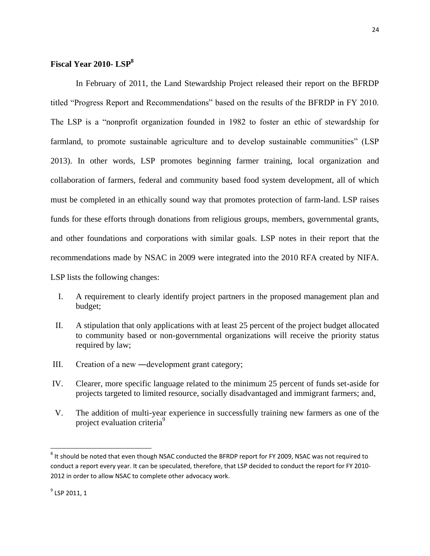### **Fiscal Year 2010- LSP<sup>8</sup>**

In February of 2011, the Land Stewardship Project released their report on the BFRDP titled "Progress Report and Recommendations" based on the results of the BFRDP in FY 2010. The LSP is a "nonprofit organization founded in 1982 to foster an ethic of stewardship for farmland, to promote sustainable agriculture and to develop sustainable communities" (LSP 2013). In other words, LSP promotes beginning farmer training, local organization and collaboration of farmers, federal and community based food system development, all of which must be completed in an ethically sound way that promotes protection of farm-land. LSP raises funds for these efforts through donations from religious groups, members, governmental grants, and other foundations and corporations with similar goals. LSP notes in their report that the recommendations made by NSAC in 2009 were integrated into the 2010 RFA created by NIFA. LSP lists the following changes:

- I. A requirement to clearly identify project partners in the proposed management plan and budget;
- II. A stipulation that only applications with at least 25 percent of the project budget allocated to community based or non-governmental organizations will receive the priority status required by law;
- III. Creation of a new ―development grant category;
- IV. Clearer, more specific language related to the minimum 25 percent of funds set-aside for projects targeted to limited resource, socially disadvantaged and immigrant farmers; and,
- V. The addition of multi-year experience in successfully training new farmers as one of the project evaluation criteria<sup>9</sup>

 8 It should be noted that even though NSAC conducted the BFRDP report for FY 2009, NSAC was not required to conduct a report every year. It can be speculated, therefore, that LSP decided to conduct the report for FY 2010- 2012 in order to allow NSAC to complete other advocacy work.

<sup>&</sup>lt;sup>9</sup> LSP 2011, 1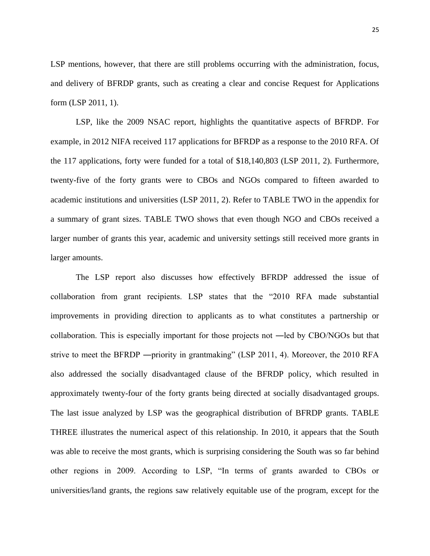LSP mentions, however, that there are still problems occurring with the administration, focus, and delivery of BFRDP grants, such as creating a clear and concise Request for Applications form (LSP 2011, 1).

LSP, like the 2009 NSAC report, highlights the quantitative aspects of BFRDP. For example, in 2012 NIFA received 117 applications for BFRDP as a response to the 2010 RFA. Of the 117 applications, forty were funded for a total of \$18,140,803 (LSP 2011, 2). Furthermore, twenty-five of the forty grants were to CBOs and NGOs compared to fifteen awarded to academic institutions and universities (LSP 2011, 2). Refer to TABLE TWO in the appendix for a summary of grant sizes. TABLE TWO shows that even though NGO and CBOs received a larger number of grants this year, academic and university settings still received more grants in larger amounts.

The LSP report also discusses how effectively BFRDP addressed the issue of collaboration from grant recipients. LSP states that the "2010 RFA made substantial improvements in providing direction to applicants as to what constitutes a partnership or collaboration. This is especially important for those projects not —led by CBO/NGOs but that strive to meet the BFRDP ―priority in grantmaking" (LSP 2011, 4). Moreover, the 2010 RFA also addressed the socially disadvantaged clause of the BFRDP policy, which resulted in approximately twenty-four of the forty grants being directed at socially disadvantaged groups. The last issue analyzed by LSP was the geographical distribution of BFRDP grants. TABLE THREE illustrates the numerical aspect of this relationship. In 2010, it appears that the South was able to receive the most grants, which is surprising considering the South was so far behind other regions in 2009. According to LSP, "In terms of grants awarded to CBOs or universities/land grants, the regions saw relatively equitable use of the program, except for the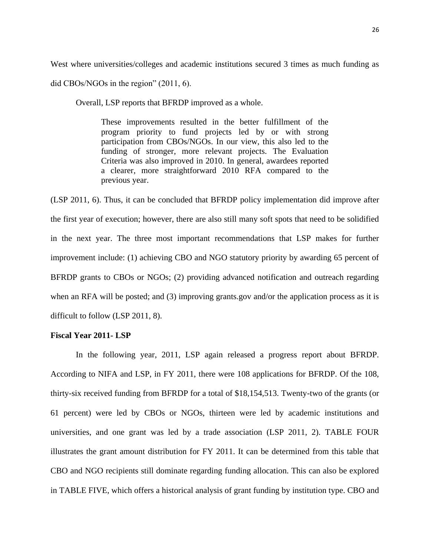West where universities/colleges and academic institutions secured 3 times as much funding as

did CBOs/NGOs in the region" (2011, 6).

Overall, LSP reports that BFRDP improved as a whole.

These improvements resulted in the better fulfillment of the program priority to fund projects led by or with strong participation from CBOs/NGOs. In our view, this also led to the funding of stronger, more relevant projects. The Evaluation Criteria was also improved in 2010. In general, awardees reported a clearer, more straightforward 2010 RFA compared to the previous year.

(LSP 2011, 6). Thus, it can be concluded that BFRDP policy implementation did improve after the first year of execution; however, there are also still many soft spots that need to be solidified in the next year. The three most important recommendations that LSP makes for further improvement include: (1) achieving CBO and NGO statutory priority by awarding 65 percent of BFRDP grants to CBOs or NGOs; (2) providing advanced notification and outreach regarding when an RFA will be posted; and (3) improving grants.gov and/or the application process as it is difficult to follow (LSP 2011, 8).

### **Fiscal Year 2011- LSP**

In the following year, 2011, LSP again released a progress report about BFRDP. According to NIFA and LSP, in FY 2011, there were 108 applications for BFRDP. Of the 108, thirty-six received funding from BFRDP for a total of \$18,154,513. Twenty-two of the grants (or 61 percent) were led by CBOs or NGOs, thirteen were led by academic institutions and universities, and one grant was led by a trade association (LSP 2011, 2). TABLE FOUR illustrates the grant amount distribution for FY 2011. It can be determined from this table that CBO and NGO recipients still dominate regarding funding allocation. This can also be explored in TABLE FIVE, which offers a historical analysis of grant funding by institution type. CBO and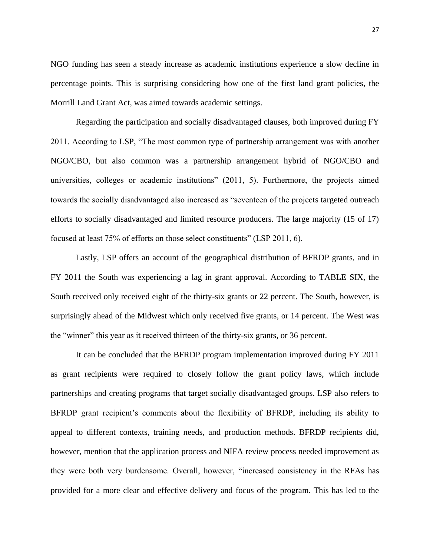NGO funding has seen a steady increase as academic institutions experience a slow decline in percentage points. This is surprising considering how one of the first land grant policies, the Morrill Land Grant Act, was aimed towards academic settings.

Regarding the participation and socially disadvantaged clauses, both improved during FY 2011. According to LSP, "The most common type of partnership arrangement was with another NGO/CBO, but also common was a partnership arrangement hybrid of NGO/CBO and universities, colleges or academic institutions" (2011, 5). Furthermore, the projects aimed towards the socially disadvantaged also increased as "seventeen of the projects targeted outreach efforts to socially disadvantaged and limited resource producers. The large majority (15 of 17) focused at least 75% of efforts on those select constituents" (LSP 2011, 6).

Lastly, LSP offers an account of the geographical distribution of BFRDP grants, and in FY 2011 the South was experiencing a lag in grant approval. According to TABLE SIX, the South received only received eight of the thirty-six grants or 22 percent. The South, however, is surprisingly ahead of the Midwest which only received five grants, or 14 percent. The West was the "winner" this year as it received thirteen of the thirty-six grants, or 36 percent.

It can be concluded that the BFRDP program implementation improved during FY 2011 as grant recipients were required to closely follow the grant policy laws, which include partnerships and creating programs that target socially disadvantaged groups. LSP also refers to BFRDP grant recipient's comments about the flexibility of BFRDP, including its ability to appeal to different contexts, training needs, and production methods. BFRDP recipients did, however, mention that the application process and NIFA review process needed improvement as they were both very burdensome. Overall, however, "increased consistency in the RFAs has provided for a more clear and effective delivery and focus of the program. This has led to the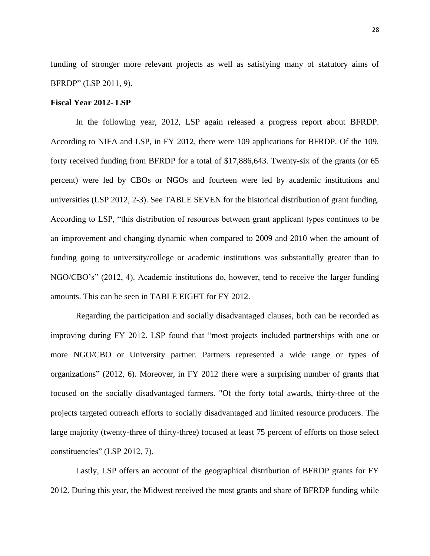funding of stronger more relevant projects as well as satisfying many of statutory aims of BFRDP" (LSP 2011, 9).

#### **Fiscal Year 2012- LSP**

In the following year, 2012, LSP again released a progress report about BFRDP. According to NIFA and LSP, in FY 2012, there were 109 applications for BFRDP. Of the 109, forty received funding from BFRDP for a total of \$17,886,643. Twenty-six of the grants (or 65 percent) were led by CBOs or NGOs and fourteen were led by academic institutions and universities (LSP 2012, 2-3). See TABLE SEVEN for the historical distribution of grant funding. According to LSP, "this distribution of resources between grant applicant types continues to be an improvement and changing dynamic when compared to 2009 and 2010 when the amount of funding going to university/college or academic institutions was substantially greater than to NGO/CBO's" (2012, 4). Academic institutions do, however, tend to receive the larger funding amounts. This can be seen in TABLE EIGHT for FY 2012.

Regarding the participation and socially disadvantaged clauses, both can be recorded as improving during FY 2012. LSP found that "most projects included partnerships with one or more NGO/CBO or University partner. Partners represented a wide range or types of organizations" (2012, 6). Moreover, in FY 2012 there were a surprising number of grants that focused on the socially disadvantaged farmers. "Of the forty total awards, thirty-three of the projects targeted outreach efforts to socially disadvantaged and limited resource producers. The large majority (twenty-three of thirty-three) focused at least 75 percent of efforts on those select constituencies" (LSP 2012, 7).

Lastly, LSP offers an account of the geographical distribution of BFRDP grants for FY 2012. During this year, the Midwest received the most grants and share of BFRDP funding while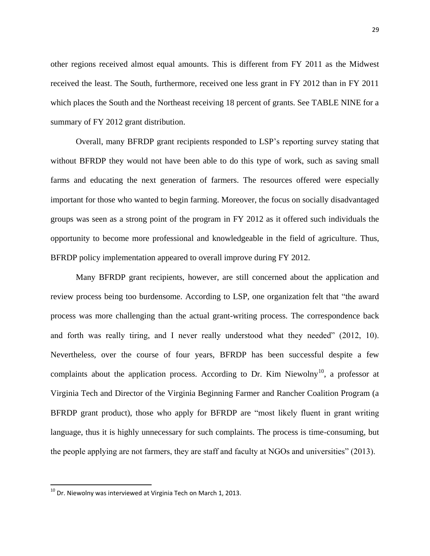other regions received almost equal amounts. This is different from FY 2011 as the Midwest received the least. The South, furthermore, received one less grant in FY 2012 than in FY 2011 which places the South and the Northeast receiving 18 percent of grants. See TABLE NINE for a summary of FY 2012 grant distribution.

Overall, many BFRDP grant recipients responded to LSP's reporting survey stating that without BFRDP they would not have been able to do this type of work, such as saving small farms and educating the next generation of farmers. The resources offered were especially important for those who wanted to begin farming. Moreover, the focus on socially disadvantaged groups was seen as a strong point of the program in FY 2012 as it offered such individuals the opportunity to become more professional and knowledgeable in the field of agriculture. Thus, BFRDP policy implementation appeared to overall improve during FY 2012.

Many BFRDP grant recipients, however, are still concerned about the application and review process being too burdensome. According to LSP, one organization felt that "the award process was more challenging than the actual grant-writing process. The correspondence back and forth was really tiring, and I never really understood what they needed" (2012, 10). Nevertheless, over the course of four years, BFRDP has been successful despite a few complaints about the application process. According to Dr. Kim Niewolny<sup>10</sup>, a professor at Virginia Tech and Director of the Virginia Beginning Farmer and Rancher Coalition Program (a BFRDP grant product), those who apply for BFRDP are "most likely fluent in grant writing language, thus it is highly unnecessary for such complaints. The process is time-consuming, but the people applying are not farmers, they are staff and faculty at NGOs and universities" (2013).

 $^{10}$  Dr. Niewolny was interviewed at Virginia Tech on March 1, 2013.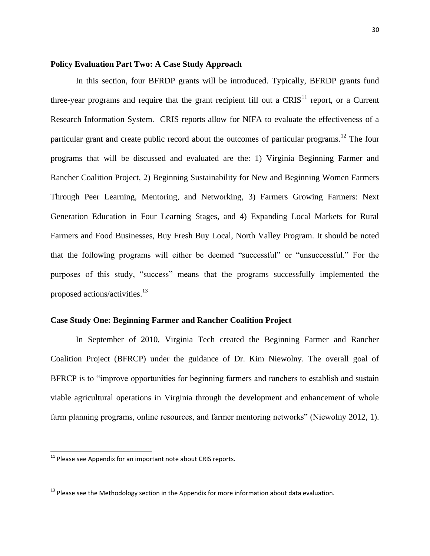#### **Policy Evaluation Part Two: A Case Study Approach**

In this section, four BFRDP grants will be introduced. Typically, BFRDP grants fund three-year programs and require that the grant recipient fill out a  $CRIS<sup>11</sup>$  report, or a Current Research Information System. CRIS reports allow for NIFA to evaluate the effectiveness of a particular grant and create public record about the outcomes of particular programs.<sup>12</sup> The four programs that will be discussed and evaluated are the: 1) Virginia Beginning Farmer and Rancher Coalition Project, 2) Beginning Sustainability for New and Beginning Women Farmers Through Peer Learning, Mentoring, and Networking, 3) Farmers Growing Farmers: Next Generation Education in Four Learning Stages, and 4) Expanding Local Markets for Rural Farmers and Food Businesses, Buy Fresh Buy Local, North Valley Program. It should be noted that the following programs will either be deemed "successful" or "unsuccessful." For the purposes of this study, "success" means that the programs successfully implemented the proposed actions/activities.<sup>13</sup>

### **Case Study One: Beginning Farmer and Rancher Coalition Project**

In September of 2010, Virginia Tech created the Beginning Farmer and Rancher Coalition Project (BFRCP) under the guidance of Dr. Kim Niewolny. The overall goal of BFRCP is to "improve opportunities for beginning farmers and ranchers to establish and sustain viable agricultural operations in Virginia through the development and enhancement of whole farm planning programs, online resources, and farmer mentoring networks" (Niewolny 2012, 1).

 $\overline{a}$ 

 $11$  Please see Appendix for an important note about CRIS reports.

 $13$  Please see the Methodology section in the Appendix for more information about data evaluation.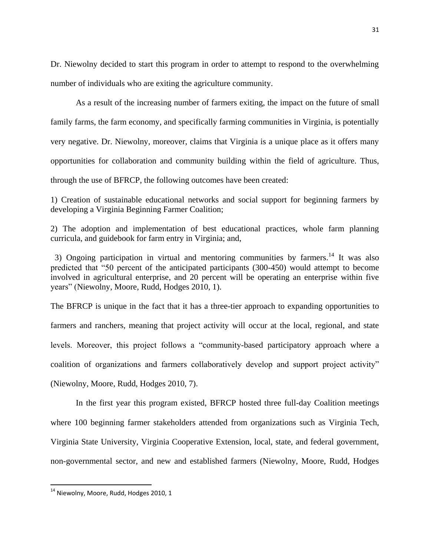Dr. Niewolny decided to start this program in order to attempt to respond to the overwhelming number of individuals who are exiting the agriculture community.

As a result of the increasing number of farmers exiting, the impact on the future of small family farms, the farm economy, and specifically farming communities in Virginia, is potentially very negative. Dr. Niewolny, moreover, claims that Virginia is a unique place as it offers many opportunities for collaboration and community building within the field of agriculture. Thus, through the use of BFRCP, the following outcomes have been created:

1) Creation of sustainable educational networks and social support for beginning farmers by developing a Virginia Beginning Farmer Coalition;

2) The adoption and implementation of best educational practices, whole farm planning curricula, and guidebook for farm entry in Virginia; and,

3) Ongoing participation in virtual and mentoring communities by farmers.<sup>14</sup> It was also predicted that "50 percent of the anticipated participants (300-450) would attempt to become involved in agricultural enterprise, and 20 percent will be operating an enterprise within five years" (Niewolny, Moore, Rudd, Hodges 2010, 1).

The BFRCP is unique in the fact that it has a three-tier approach to expanding opportunities to farmers and ranchers, meaning that project activity will occur at the local, regional, and state levels. Moreover, this project follows a "community-based participatory approach where a coalition of organizations and farmers collaboratively develop and support project activity" (Niewolny, Moore, Rudd, Hodges 2010, 7).

In the first year this program existed, BFRCP hosted three full-day Coalition meetings where 100 beginning farmer stakeholders attended from organizations such as Virginia Tech, Virginia State University, Virginia Cooperative Extension, local, state, and federal government, non-governmental sector, and new and established farmers (Niewolny, Moore, Rudd, Hodges

 $^{14}$  Niewolny, Moore, Rudd, Hodges 2010, 1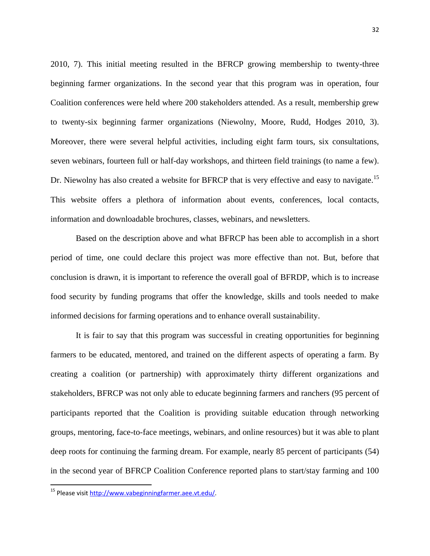2010, 7). This initial meeting resulted in the BFRCP growing membership to twenty-three beginning farmer organizations. In the second year that this program was in operation, four Coalition conferences were held where 200 stakeholders attended. As a result, membership grew to twenty-six beginning farmer organizations (Niewolny, Moore, Rudd, Hodges 2010, 3). Moreover, there were several helpful activities, including eight farm tours, six consultations, seven webinars, fourteen full or half-day workshops, and thirteen field trainings (to name a few). Dr. Niewolny has also created a website for BFRCP that is very effective and easy to navigate.<sup>15</sup> This website offers a plethora of information about events, conferences, local contacts, information and downloadable brochures, classes, webinars, and newsletters.

Based on the description above and what BFRCP has been able to accomplish in a short period of time, one could declare this project was more effective than not. But, before that conclusion is drawn, it is important to reference the overall goal of BFRDP, which is to increase food security by funding programs that offer the knowledge, skills and tools needed to make informed decisions for farming operations and to enhance overall sustainability.

It is fair to say that this program was successful in creating opportunities for beginning farmers to be educated, mentored, and trained on the different aspects of operating a farm. By creating a coalition (or partnership) with approximately thirty different organizations and stakeholders, BFRCP was not only able to educate beginning farmers and ranchers (95 percent of participants reported that the Coalition is providing suitable education through networking groups, mentoring, face-to-face meetings, webinars, and online resources) but it was able to plant deep roots for continuing the farming dream. For example, nearly 85 percent of participants (54) in the second year of BFRCP Coalition Conference reported plans to start/stay farming and 100

<sup>&</sup>lt;sup>15</sup> Please visit [http://www.vabeginningfarmer.aee.vt.edu/.](http://www.vabeginningfarmer.aee.vt.edu/)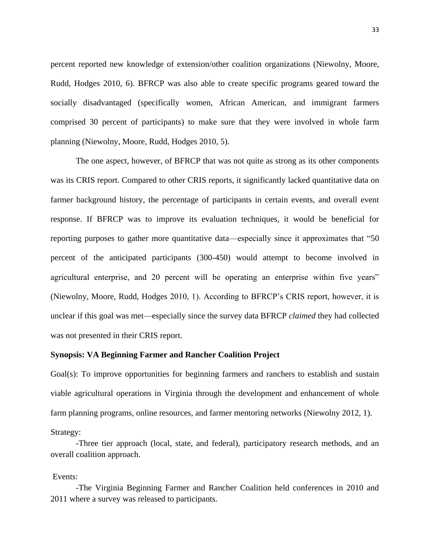percent reported new knowledge of extension/other coalition organizations (Niewolny, Moore, Rudd, Hodges 2010, 6). BFRCP was also able to create specific programs geared toward the socially disadvantaged (specifically women, African American, and immigrant farmers comprised 30 percent of participants) to make sure that they were involved in whole farm planning (Niewolny, Moore, Rudd, Hodges 2010, 5).

The one aspect, however, of BFRCP that was not quite as strong as its other components was its CRIS report. Compared to other CRIS reports, it significantly lacked quantitative data on farmer background history, the percentage of participants in certain events, and overall event response. If BFRCP was to improve its evaluation techniques, it would be beneficial for reporting purposes to gather more quantitative data—especially since it approximates that "50 percent of the anticipated participants (300-450) would attempt to become involved in agricultural enterprise, and 20 percent will be operating an enterprise within five years" (Niewolny, Moore, Rudd, Hodges 2010, 1). According to BFRCP's CRIS report, however, it is unclear if this goal was met—especially since the survey data BFRCP *claimed* they had collected was not presented in their CRIS report.

### **Synopsis: VA Beginning Farmer and Rancher Coalition Project**

Goal(s): To improve opportunities for beginning farmers and ranchers to establish and sustain viable agricultural operations in Virginia through the development and enhancement of whole farm planning programs, online resources, and farmer mentoring networks (Niewolny 2012, 1).

Strategy:

-Three tier approach (local, state, and federal), participatory research methods, and an overall coalition approach.

Events:

-The Virginia Beginning Farmer and Rancher Coalition held conferences in 2010 and 2011 where a survey was released to participants.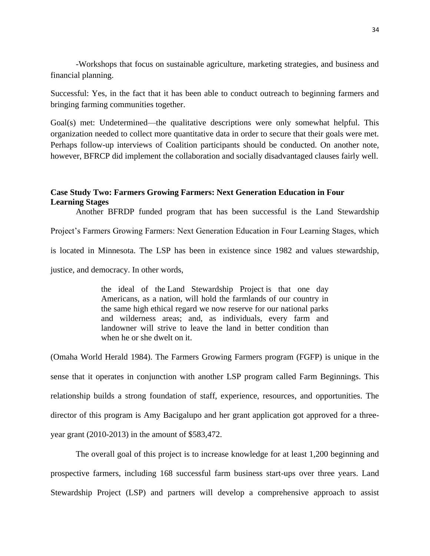-Workshops that focus on sustainable agriculture, marketing strategies, and business and financial planning.

Successful: Yes, in the fact that it has been able to conduct outreach to beginning farmers and bringing farming communities together.

Goal(s) met: Undetermined—the qualitative descriptions were only somewhat helpful. This organization needed to collect more quantitative data in order to secure that their goals were met. Perhaps follow-up interviews of Coalition participants should be conducted. On another note, however, BFRCP did implement the collaboration and socially disadvantaged clauses fairly well.

### **Case Study Two: Farmers Growing Farmers: Next Generation Education in Four Learning Stages**

Another BFRDP funded program that has been successful is the Land Stewardship Project's Farmers Growing Farmers: Next Generation Education in Four Learning Stages, which is located in Minnesota. The LSP has been in existence since 1982 and values stewardship, justice, and democracy. In other words,

> the ideal of the Land Stewardship Project is that one day Americans, as a nation, will hold the farmlands of our country in the same high ethical regard we now reserve for our national parks and wilderness areas; and, as individuals, every farm and landowner will strive to leave the land in better condition than when he or she dwelt on it.

(Omaha World Herald 1984). The Farmers Growing Farmers program (FGFP) is unique in the sense that it operates in conjunction with another LSP program called Farm Beginnings. This relationship builds a strong foundation of staff, experience, resources, and opportunities. The director of this program is Amy Bacigalupo and her grant application got approved for a threeyear grant (2010-2013) in the amount of \$583,472.

The overall goal of this project is to increase knowledge for at least 1,200 beginning and prospective farmers, including 168 successful farm business start-ups over three years. Land Stewardship Project (LSP) and partners will develop a comprehensive approach to assist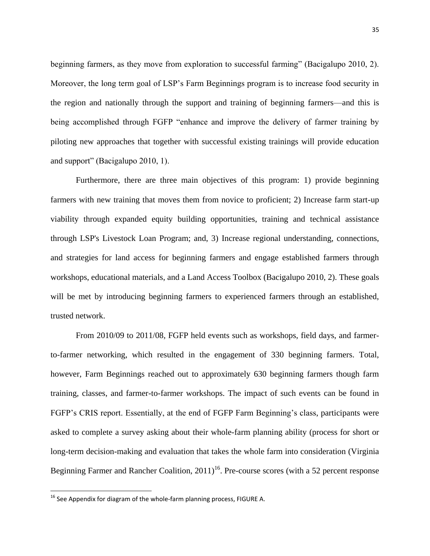beginning farmers, as they move from exploration to successful farming" (Bacigalupo 2010, 2). Moreover, the long term goal of LSP's Farm Beginnings program is to increase food security in the region and nationally through the support and training of beginning farmers—and this is being accomplished through FGFP "enhance and improve the delivery of farmer training by piloting new approaches that together with successful existing trainings will provide education and support" (Bacigalupo 2010, 1).

Furthermore, there are three main objectives of this program: 1) provide beginning farmers with new training that moves them from novice to proficient; 2) Increase farm start-up viability through expanded equity building opportunities, training and technical assistance through LSP's Livestock Loan Program; and, 3) Increase regional understanding, connections, and strategies for land access for beginning farmers and engage established farmers through workshops, educational materials, and a Land Access Toolbox (Bacigalupo 2010, 2). These goals will be met by introducing beginning farmers to experienced farmers through an established, trusted network.

From 2010/09 to 2011/08, FGFP held events such as workshops, field days, and farmerto-farmer networking, which resulted in the engagement of 330 beginning farmers. Total, however, Farm Beginnings reached out to approximately 630 beginning farmers though farm training, classes, and farmer-to-farmer workshops. The impact of such events can be found in FGFP's CRIS report. Essentially, at the end of FGFP Farm Beginning's class, participants were asked to complete a survey asking about their whole-farm planning ability (process for short or long-term decision-making and evaluation that takes the whole farm into consideration (Virginia Beginning Farmer and Rancher Coalition,  $2011$ <sup>16</sup>. Pre-course scores (with a 52 percent response

 $16$  See Appendix for diagram of the whole-farm planning process, FIGURE A.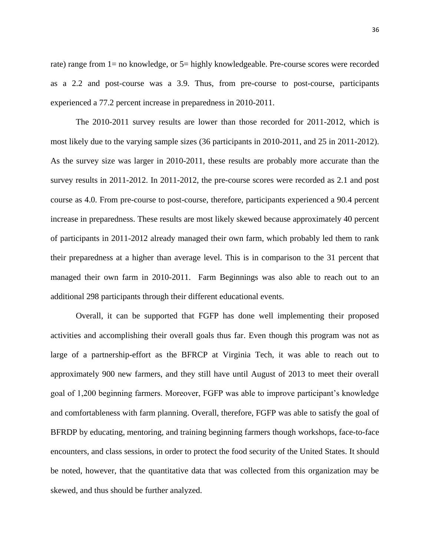rate) range from 1= no knowledge, or 5= highly knowledgeable. Pre-course scores were recorded as a 2.2 and post-course was a 3.9. Thus, from pre-course to post-course, participants experienced a 77.2 percent increase in preparedness in 2010-2011.

The 2010-2011 survey results are lower than those recorded for 2011-2012, which is most likely due to the varying sample sizes (36 participants in 2010-2011, and 25 in 2011-2012). As the survey size was larger in 2010-2011, these results are probably more accurate than the survey results in 2011-2012. In 2011-2012, the pre-course scores were recorded as 2.1 and post course as 4.0. From pre-course to post-course, therefore, participants experienced a 90.4 percent increase in preparedness. These results are most likely skewed because approximately 40 percent of participants in 2011-2012 already managed their own farm, which probably led them to rank their preparedness at a higher than average level. This is in comparison to the 31 percent that managed their own farm in 2010-2011. Farm Beginnings was also able to reach out to an additional 298 participants through their different educational events.

Overall, it can be supported that FGFP has done well implementing their proposed activities and accomplishing their overall goals thus far. Even though this program was not as large of a partnership-effort as the BFRCP at Virginia Tech, it was able to reach out to approximately 900 new farmers, and they still have until August of 2013 to meet their overall goal of 1,200 beginning farmers. Moreover, FGFP was able to improve participant's knowledge and comfortableness with farm planning. Overall, therefore, FGFP was able to satisfy the goal of BFRDP by educating, mentoring, and training beginning farmers though workshops, face-to-face encounters, and class sessions, in order to protect the food security of the United States. It should be noted, however, that the quantitative data that was collected from this organization may be skewed, and thus should be further analyzed.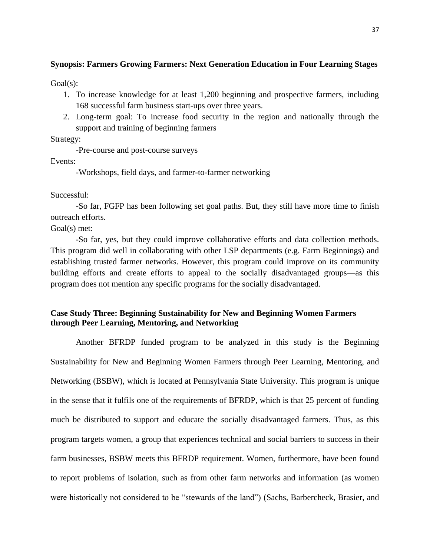### **Synopsis: Farmers Growing Farmers: Next Generation Education in Four Learning Stages**

Goal(s):

- 1. To increase knowledge for at least 1,200 beginning and prospective farmers, including 168 successful farm business start-ups over three years.
- 2. Long-term goal: To increase food security in the region and nationally through the support and training of beginning farmers

Strategy:

-Pre-course and post-course surveys

Events:

-Workshops, field days, and farmer-to-farmer networking

Successful:

-So far, FGFP has been following set goal paths. But, they still have more time to finish outreach efforts.

Goal(s) met:

-So far, yes, but they could improve collaborative efforts and data collection methods. This program did well in collaborating with other LSP departments (e.g. Farm Beginnings) and establishing trusted farmer networks. However, this program could improve on its community building efforts and create efforts to appeal to the socially disadvantaged groups—as this program does not mention any specific programs for the socially disadvantaged.

### **Case Study Three: Beginning Sustainability for New and Beginning Women Farmers through Peer Learning, Mentoring, and Networking**

Another BFRDP funded program to be analyzed in this study is the Beginning Sustainability for New and Beginning Women Farmers through Peer Learning, Mentoring, and Networking (BSBW), which is located at Pennsylvania State University. This program is unique in the sense that it fulfils one of the requirements of BFRDP, which is that 25 percent of funding much be distributed to support and educate the socially disadvantaged farmers. Thus, as this program targets women, a group that experiences technical and social barriers to success in their farm businesses, BSBW meets this BFRDP requirement. Women, furthermore, have been found to report problems of isolation, such as from other farm networks and information (as women were historically not considered to be "stewards of the land") (Sachs, Barbercheck, Brasier, and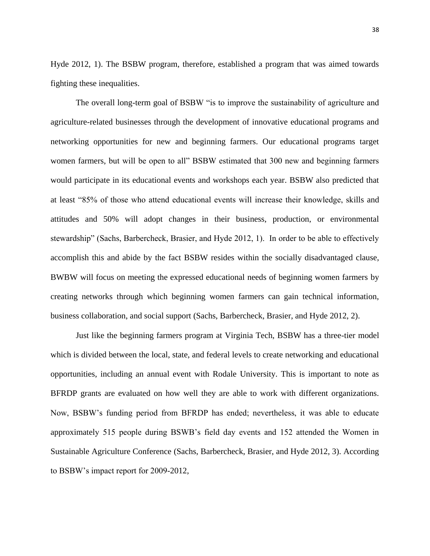Hyde 2012, 1). The BSBW program, therefore, established a program that was aimed towards fighting these inequalities.

The overall long-term goal of BSBW "is to improve the sustainability of agriculture and agriculture-related businesses through the development of innovative educational programs and networking opportunities for new and beginning farmers. Our educational programs target women farmers, but will be open to all" BSBW estimated that 300 new and beginning farmers would participate in its educational events and workshops each year. BSBW also predicted that at least "85% of those who attend educational events will increase their knowledge, skills and attitudes and 50% will adopt changes in their business, production, or environmental stewardship" (Sachs, Barbercheck, Brasier, and Hyde 2012, 1). In order to be able to effectively accomplish this and abide by the fact BSBW resides within the socially disadvantaged clause, BWBW will focus on meeting the expressed educational needs of beginning women farmers by creating networks through which beginning women farmers can gain technical information, business collaboration, and social support (Sachs, Barbercheck, Brasier, and Hyde 2012, 2).

Just like the beginning farmers program at Virginia Tech, BSBW has a three-tier model which is divided between the local, state, and federal levels to create networking and educational opportunities, including an annual event with Rodale University. This is important to note as BFRDP grants are evaluated on how well they are able to work with different organizations. Now, BSBW's funding period from BFRDP has ended; nevertheless, it was able to educate approximately 515 people during BSWB's field day events and 152 attended the Women in Sustainable Agriculture Conference (Sachs, Barbercheck, Brasier, and Hyde 2012, 3). According to BSBW's impact report for 2009-2012,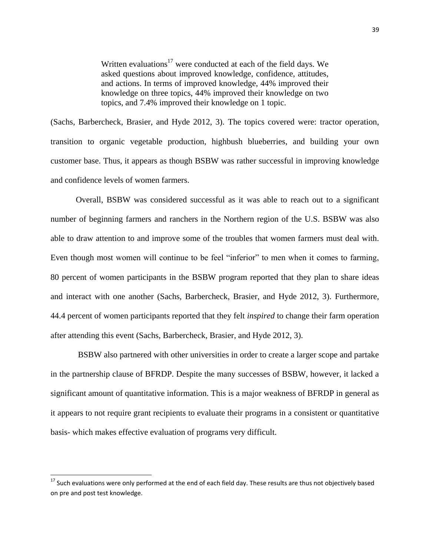Written evaluations<sup>17</sup> were conducted at each of the field days. We asked questions about improved knowledge, confidence, attitudes, and actions. In terms of improved knowledge, 44% improved their knowledge on three topics, 44% improved their knowledge on two topics, and 7.4% improved their knowledge on 1 topic.

(Sachs, Barbercheck, Brasier, and Hyde 2012, 3). The topics covered were: tractor operation, transition to organic vegetable production, highbush blueberries, and building your own customer base. Thus, it appears as though BSBW was rather successful in improving knowledge and confidence levels of women farmers.

Overall, BSBW was considered successful as it was able to reach out to a significant number of beginning farmers and ranchers in the Northern region of the U.S. BSBW was also able to draw attention to and improve some of the troubles that women farmers must deal with. Even though most women will continue to be feel "inferior" to men when it comes to farming, 80 percent of women participants in the BSBW program reported that they plan to share ideas and interact with one another (Sachs, Barbercheck, Brasier, and Hyde 2012, 3). Furthermore, 44.4 percent of women participants reported that they felt *inspired* to change their farm operation after attending this event (Sachs, Barbercheck, Brasier, and Hyde 2012, 3).

BSBW also partnered with other universities in order to create a larger scope and partake in the partnership clause of BFRDP. Despite the many successes of BSBW, however, it lacked a significant amount of quantitative information. This is a major weakness of BFRDP in general as it appears to not require grant recipients to evaluate their programs in a consistent or quantitative basis- which makes effective evaluation of programs very difficult.

<sup>&</sup>lt;sup>17</sup> Such evaluations were only performed at the end of each field day. These results are thus not objectively based on pre and post test knowledge.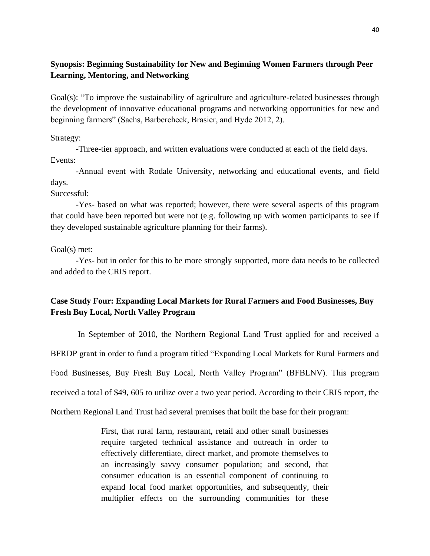### **Synopsis: Beginning Sustainability for New and Beginning Women Farmers through Peer Learning, Mentoring, and Networking**

Goal(s): "To improve the sustainability of agriculture and agriculture-related businesses through the development of innovative educational programs and networking opportunities for new and beginning farmers" (Sachs, Barbercheck, Brasier, and Hyde 2012, 2).

Strategy:

-Three-tier approach, and written evaluations were conducted at each of the field days. Events:

-Annual event with Rodale University, networking and educational events, and field days.

Successful:

-Yes- based on what was reported; however, there were several aspects of this program that could have been reported but were not (e.g. following up with women participants to see if they developed sustainable agriculture planning for their farms).

Goal(s) met:

-Yes- but in order for this to be more strongly supported, more data needs to be collected and added to the CRIS report.

### **Case Study Four: Expanding Local Markets for Rural Farmers and Food Businesses, Buy Fresh Buy Local, North Valley Program**

In September of 2010, the Northern Regional Land Trust applied for and received a BFRDP grant in order to fund a program titled "Expanding Local Markets for Rural Farmers and Food Businesses, Buy Fresh Buy Local, North Valley Program" (BFBLNV). This program received a total of \$49, 605 to utilize over a two year period. According to their CRIS report, the Northern Regional Land Trust had several premises that built the base for their program:

> First, that rural farm, restaurant, retail and other small businesses require targeted technical assistance and outreach in order to effectively differentiate, direct market, and promote themselves to an increasingly savvy consumer population; and second, that consumer education is an essential component of continuing to expand local food market opportunities, and subsequently, their multiplier effects on the surrounding communities for these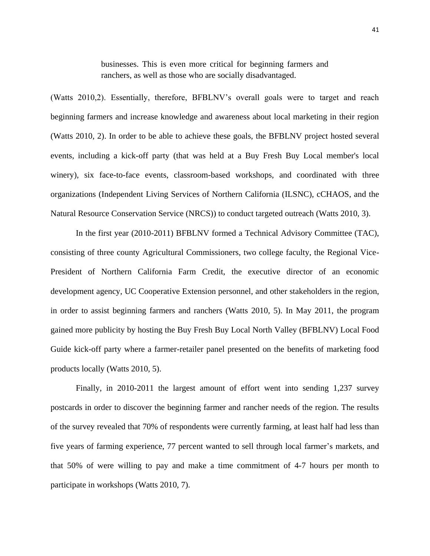businesses. This is even more critical for beginning farmers and ranchers, as well as those who are socially disadvantaged.

(Watts 2010,2). Essentially, therefore, BFBLNV's overall goals were to target and reach beginning farmers and increase knowledge and awareness about local marketing in their region (Watts 2010, 2). In order to be able to achieve these goals, the BFBLNV project hosted several events, including a kick-off party (that was held at a Buy Fresh Buy Local member's local winery), six face-to-face events, classroom-based workshops, and coordinated with three organizations (Independent Living Services of Northern California (ILSNC), cCHAOS, and the Natural Resource Conservation Service (NRCS)) to conduct targeted outreach (Watts 2010, 3).

In the first year (2010-2011) BFBLNV formed a Technical Advisory Committee (TAC), consisting of three county Agricultural Commissioners, two college faculty, the Regional Vice-President of Northern California Farm Credit, the executive director of an economic development agency, UC Cooperative Extension personnel, and other stakeholders in the region, in order to assist beginning farmers and ranchers (Watts 2010, 5). In May 2011, the program gained more publicity by hosting the Buy Fresh Buy Local North Valley (BFBLNV) Local Food Guide kick-off party where a farmer-retailer panel presented on the benefits of marketing food products locally (Watts 2010, 5).

Finally, in 2010-2011 the largest amount of effort went into sending 1,237 survey postcards in order to discover the beginning farmer and rancher needs of the region. The results of the survey revealed that 70% of respondents were currently farming, at least half had less than five years of farming experience, 77 percent wanted to sell through local farmer's markets, and that 50% of were willing to pay and make a time commitment of 4-7 hours per month to participate in workshops (Watts 2010, 7).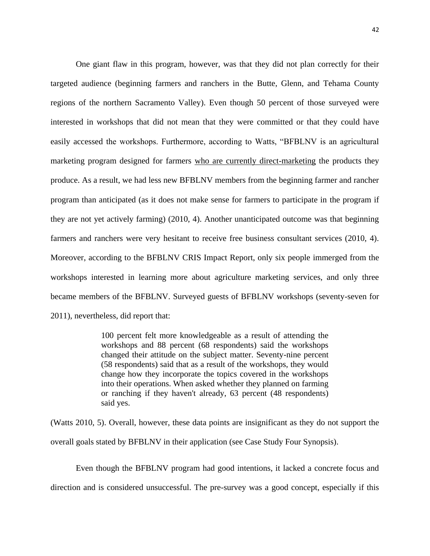One giant flaw in this program, however, was that they did not plan correctly for their targeted audience (beginning farmers and ranchers in the Butte, Glenn, and Tehama County regions of the northern Sacramento Valley). Even though 50 percent of those surveyed were interested in workshops that did not mean that they were committed or that they could have easily accessed the workshops. Furthermore, according to Watts, "BFBLNV is an agricultural marketing program designed for farmers who are currently direct-marketing the products they produce. As a result, we had less new BFBLNV members from the beginning farmer and rancher program than anticipated (as it does not make sense for farmers to participate in the program if they are not yet actively farming) (2010, 4). Another unanticipated outcome was that beginning farmers and ranchers were very hesitant to receive free business consultant services (2010, 4). Moreover, according to the BFBLNV CRIS Impact Report, only six people immerged from the workshops interested in learning more about agriculture marketing services, and only three became members of the BFBLNV. Surveyed guests of BFBLNV workshops (seventy-seven for 2011), nevertheless, did report that:

> 100 percent felt more knowledgeable as a result of attending the workshops and 88 percent (68 respondents) said the workshops changed their attitude on the subject matter. Seventy-nine percent (58 respondents) said that as a result of the workshops, they would change how they incorporate the topics covered in the workshops into their operations. When asked whether they planned on farming or ranching if they haven't already, 63 percent (48 respondents) said yes.

(Watts 2010, 5). Overall, however, these data points are insignificant as they do not support the overall goals stated by BFBLNV in their application (see Case Study Four Synopsis).

Even though the BFBLNV program had good intentions, it lacked a concrete focus and direction and is considered unsuccessful. The pre-survey was a good concept, especially if this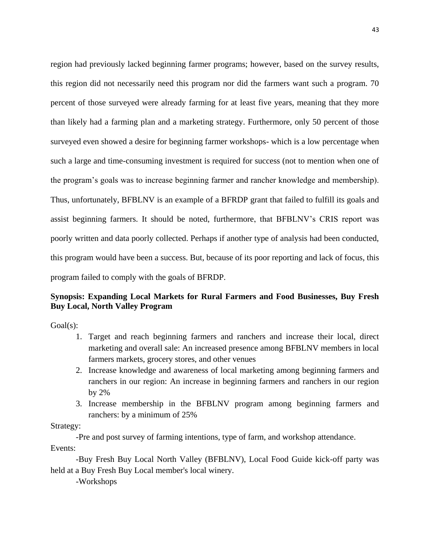region had previously lacked beginning farmer programs; however, based on the survey results, this region did not necessarily need this program nor did the farmers want such a program. 70 percent of those surveyed were already farming for at least five years, meaning that they more than likely had a farming plan and a marketing strategy. Furthermore, only 50 percent of those surveyed even showed a desire for beginning farmer workshops- which is a low percentage when such a large and time-consuming investment is required for success (not to mention when one of the program's goals was to increase beginning farmer and rancher knowledge and membership). Thus, unfortunately, BFBLNV is an example of a BFRDP grant that failed to fulfill its goals and assist beginning farmers. It should be noted, furthermore, that BFBLNV's CRIS report was poorly written and data poorly collected. Perhaps if another type of analysis had been conducted, this program would have been a success. But, because of its poor reporting and lack of focus, this program failed to comply with the goals of BFRDP.

### **Synopsis: Expanding Local Markets for Rural Farmers and Food Businesses, Buy Fresh Buy Local, North Valley Program**

Goal(s):

- 1. Target and reach beginning farmers and ranchers and increase their local, direct marketing and overall sale: An increased presence among BFBLNV members in local farmers markets, grocery stores, and other venues
- 2. Increase knowledge and awareness of local marketing among beginning farmers and ranchers in our region: An increase in beginning farmers and ranchers in our region by 2%
- 3. Increase membership in the BFBLNV program among beginning farmers and ranchers: by a minimum of 25%

Strategy:

-Pre and post survey of farming intentions, type of farm, and workshop attendance. Events:

-Buy Fresh Buy Local North Valley (BFBLNV), Local Food Guide kick-off party was held at a Buy Fresh Buy Local member's local winery.

-Workshops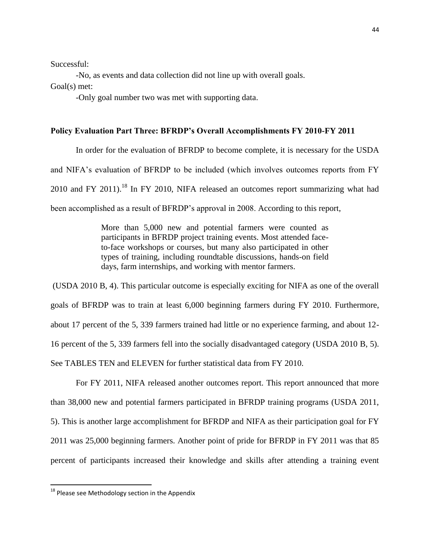Successful:

-No, as events and data collection did not line up with overall goals. Goal(s) met:

-Only goal number two was met with supporting data.

### **Policy Evaluation Part Three: BFRDP's Overall Accomplishments FY 2010-FY 2011**

In order for the evaluation of BFRDP to become complete, it is necessary for the USDA and NIFA's evaluation of BFRDP to be included (which involves outcomes reports from FY 2010 and FY 2011).<sup>18</sup> In FY 2010, NIFA released an outcomes report summarizing what had been accomplished as a result of BFRDP's approval in 2008. According to this report,

> More than 5,000 new and potential farmers were counted as participants in BFRDP project training events. Most attended faceto-face workshops or courses, but many also participated in other types of training, including roundtable discussions, hands-on field days, farm internships, and working with mentor farmers.

(USDA 2010 B, 4). This particular outcome is especially exciting for NIFA as one of the overall goals of BFRDP was to train at least 6,000 beginning farmers during FY 2010. Furthermore, about 17 percent of the 5, 339 farmers trained had little or no experience farming, and about 12- 16 percent of the 5, 339 farmers fell into the socially disadvantaged category (USDA 2010 B, 5). See TABLES TEN and ELEVEN for further statistical data from FY 2010.

For FY 2011, NIFA released another outcomes report. This report announced that more than 38,000 new and potential farmers participated in BFRDP training programs (USDA 2011, 5). This is another large accomplishment for BFRDP and NIFA as their participation goal for FY 2011 was 25,000 beginning farmers. Another point of pride for BFRDP in FY 2011 was that 85 percent of participants increased their knowledge and skills after attending a training event

 $^{18}$  Please see Methodology section in the Appendix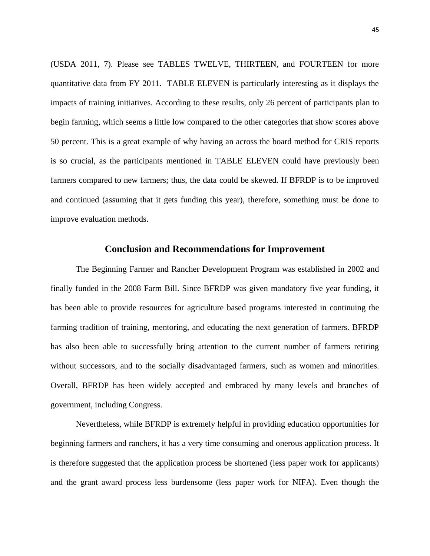(USDA 2011, 7). Please see TABLES TWELVE, THIRTEEN, and FOURTEEN for more quantitative data from FY 2011. TABLE ELEVEN is particularly interesting as it displays the impacts of training initiatives. According to these results, only 26 percent of participants plan to begin farming, which seems a little low compared to the other categories that show scores above 50 percent. This is a great example of why having an across the board method for CRIS reports is so crucial, as the participants mentioned in TABLE ELEVEN could have previously been farmers compared to new farmers; thus, the data could be skewed. If BFRDP is to be improved and continued (assuming that it gets funding this year), therefore, something must be done to improve evaluation methods.

### **Conclusion and Recommendations for Improvement**

The Beginning Farmer and Rancher Development Program was established in 2002 and finally funded in the 2008 Farm Bill. Since BFRDP was given mandatory five year funding, it has been able to provide resources for agriculture based programs interested in continuing the farming tradition of training, mentoring, and educating the next generation of farmers. BFRDP has also been able to successfully bring attention to the current number of farmers retiring without successors, and to the socially disadvantaged farmers, such as women and minorities. Overall, BFRDP has been widely accepted and embraced by many levels and branches of government, including Congress.

Nevertheless, while BFRDP is extremely helpful in providing education opportunities for beginning farmers and ranchers, it has a very time consuming and onerous application process. It is therefore suggested that the application process be shortened (less paper work for applicants) and the grant award process less burdensome (less paper work for NIFA). Even though the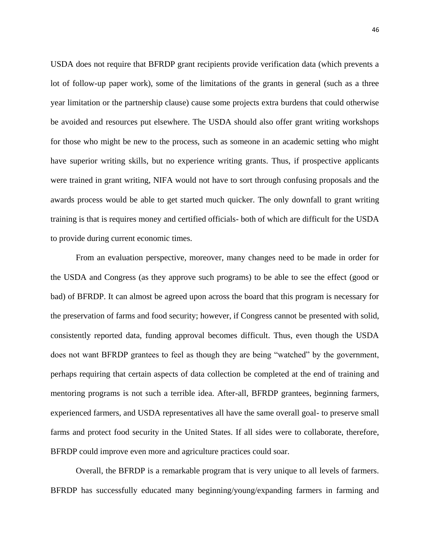USDA does not require that BFRDP grant recipients provide verification data (which prevents a lot of follow-up paper work), some of the limitations of the grants in general (such as a three year limitation or the partnership clause) cause some projects extra burdens that could otherwise be avoided and resources put elsewhere. The USDA should also offer grant writing workshops for those who might be new to the process, such as someone in an academic setting who might have superior writing skills, but no experience writing grants. Thus, if prospective applicants were trained in grant writing, NIFA would not have to sort through confusing proposals and the awards process would be able to get started much quicker. The only downfall to grant writing training is that is requires money and certified officials- both of which are difficult for the USDA to provide during current economic times.

From an evaluation perspective, moreover, many changes need to be made in order for the USDA and Congress (as they approve such programs) to be able to see the effect (good or bad) of BFRDP. It can almost be agreed upon across the board that this program is necessary for the preservation of farms and food security; however, if Congress cannot be presented with solid, consistently reported data, funding approval becomes difficult. Thus, even though the USDA does not want BFRDP grantees to feel as though they are being "watched" by the government, perhaps requiring that certain aspects of data collection be completed at the end of training and mentoring programs is not such a terrible idea. After-all, BFRDP grantees, beginning farmers, experienced farmers, and USDA representatives all have the same overall goal- to preserve small farms and protect food security in the United States. If all sides were to collaborate, therefore, BFRDP could improve even more and agriculture practices could soar.

Overall, the BFRDP is a remarkable program that is very unique to all levels of farmers. BFRDP has successfully educated many beginning/young/expanding farmers in farming and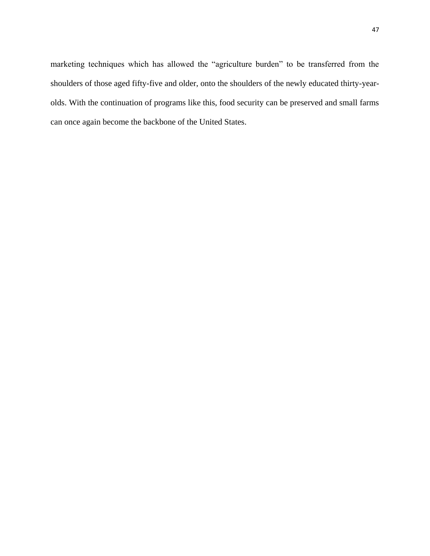marketing techniques which has allowed the "agriculture burden" to be transferred from the shoulders of those aged fifty-five and older, onto the shoulders of the newly educated thirty-yearolds. With the continuation of programs like this, food security can be preserved and small farms can once again become the backbone of the United States.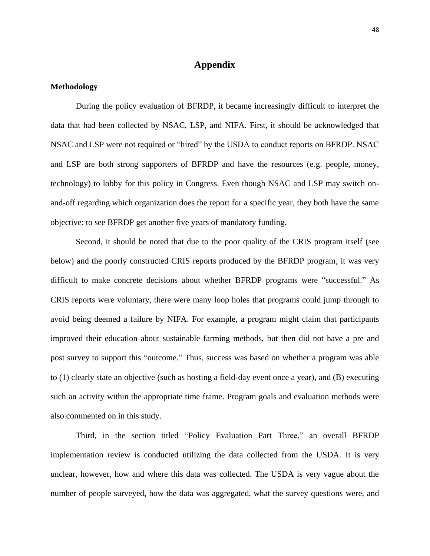### **Appendix**

### **Methodology**

During the policy evaluation of BFRDP, it became increasingly difficult to interpret the data that had been collected by NSAC, LSP, and NIFA. First, it should be acknowledged that NSAC and LSP were not required or "hired" by the USDA to conduct reports on BFRDP. NSAC and LSP are both strong supporters of BFRDP and have the resources (e.g. people, money, technology) to lobby for this policy in Congress. Even though NSAC and LSP may switch onand-off regarding which organization does the report for a specific year, they both have the same objective: to see BFRDP get another five years of mandatory funding.

Second, it should be noted that due to the poor quality of the CRIS program itself (see below) and the poorly constructed CRIS reports produced by the BFRDP program, it was very difficult to make concrete decisions about whether BFRDP programs were "successful." As CRIS reports were voluntary, there were many loop holes that programs could jump through to avoid being deemed a failure by NIFA. For example, a program might claim that participants improved their education about sustainable farming methods, but then did not have a pre and post survey to support this "outcome." Thus, success was based on whether a program was able to (1) clearly state an objective (such as hosting a field-day event once a year), and (B) executing such an activity within the appropriate time frame. Program goals and evaluation methods were also commented on in this study.

Third, in the section titled "Policy Evaluation Part Three," an overall BFRDP implementation review is conducted utilizing the data collected from the USDA. It is very unclear, however, how and where this data was collected. The USDA is very vague about the number of people surveyed, how the data was aggregated, what the survey questions were, and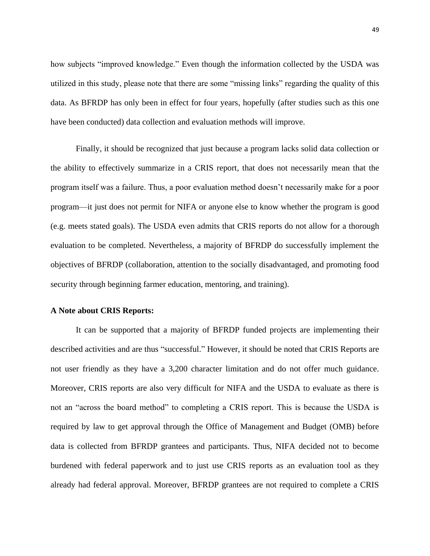how subjects "improved knowledge." Even though the information collected by the USDA was utilized in this study, please note that there are some "missing links" regarding the quality of this data. As BFRDP has only been in effect for four years, hopefully (after studies such as this one have been conducted) data collection and evaluation methods will improve.

Finally, it should be recognized that just because a program lacks solid data collection or the ability to effectively summarize in a CRIS report, that does not necessarily mean that the program itself was a failure. Thus, a poor evaluation method doesn't necessarily make for a poor program—it just does not permit for NIFA or anyone else to know whether the program is good (e.g. meets stated goals). The USDA even admits that CRIS reports do not allow for a thorough evaluation to be completed. Nevertheless, a majority of BFRDP do successfully implement the objectives of BFRDP (collaboration, attention to the socially disadvantaged, and promoting food security through beginning farmer education, mentoring, and training).

### **A Note about CRIS Reports:**

It can be supported that a majority of BFRDP funded projects are implementing their described activities and are thus "successful." However, it should be noted that CRIS Reports are not user friendly as they have a 3,200 character limitation and do not offer much guidance. Moreover, CRIS reports are also very difficult for NIFA and the USDA to evaluate as there is not an "across the board method" to completing a CRIS report. This is because the USDA is required by law to get approval through the Office of Management and Budget (OMB) before data is collected from BFRDP grantees and participants. Thus, NIFA decided not to become burdened with federal paperwork and to just use CRIS reports as an evaluation tool as they already had federal approval. Moreover, BFRDP grantees are not required to complete a CRIS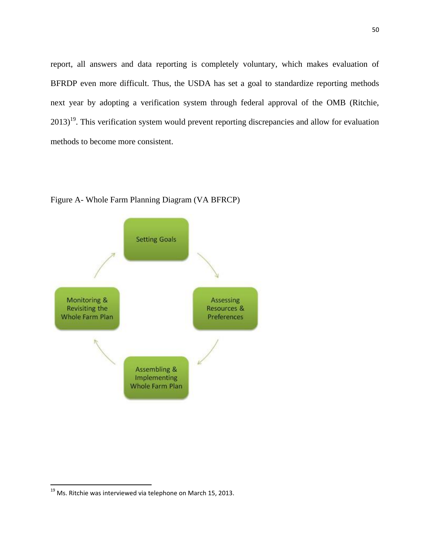report, all answers and data reporting is completely voluntary, which makes evaluation of BFRDP even more difficult. Thus, the USDA has set a goal to standardize reporting methods next year by adopting a verification system through federal approval of the OMB (Ritchie,  $2013$ <sup>19</sup>. This verification system would prevent reporting discrepancies and allow for evaluation methods to become more consistent.



Figure A- Whole Farm Planning Diagram (VA BFRCP)

 $^{19}$  Ms. Ritchie was interviewed via telephone on March 15, 2013.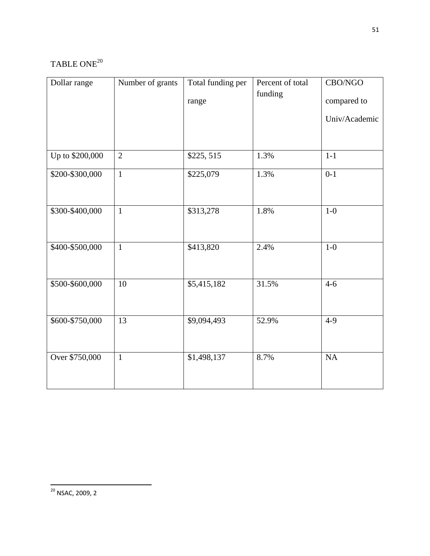# TABLE ONE<sup>20</sup>

| Dollar range    | Number of grants | Total funding per | Percent of total | CBO/NGO       |
|-----------------|------------------|-------------------|------------------|---------------|
|                 |                  | range             | funding          | compared to   |
|                 |                  |                   |                  | Univ/Academic |
|                 |                  |                   |                  |               |
| Up to \$200,000 | $\overline{2}$   | \$225, 515        | 1.3%             | $1-1$         |
| \$200-\$300,000 | $\mathbf{1}$     | \$225,079         | 1.3%             | $0 - 1$       |
|                 |                  |                   |                  |               |
| \$300-\$400,000 | $\mathbf{1}$     | \$313,278         | 1.8%             | $1-0$         |
|                 |                  |                   |                  |               |
| \$400-\$500,000 | $\mathbf{1}$     | \$413,820         | 2.4%             | $1-0$         |
|                 |                  |                   |                  |               |
| \$500-\$600,000 | 10               | \$5,415,182       | 31.5%            | $4 - 6$       |
|                 |                  |                   |                  |               |
| \$600-\$750,000 | 13               | \$9,094,493       | 52.9%            | $4 - 9$       |
|                 |                  |                   |                  |               |
| Over \$750,000  | $\mathbf{1}$     | \$1,498,137       | 8.7%             | NA            |
|                 |                  |                   |                  |               |
|                 |                  |                   |                  |               |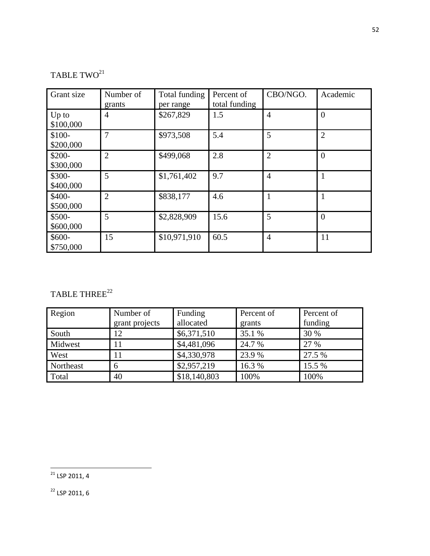# TABLE  $\mathbf{TWO}^{21}$

| Grant size           | Number of<br>grants | Total funding<br>per range | Percent of<br>total funding | CBO/NGO.       | Academic       |
|----------------------|---------------------|----------------------------|-----------------------------|----------------|----------------|
| $Up$ to<br>\$100,000 | $\overline{4}$      | \$267,829                  | 1.5                         | 4              | $\overline{0}$ |
| \$100-<br>\$200,000  | 7                   | \$973,508                  | 5.4                         | 5              | $\overline{2}$ |
| \$200-<br>\$300,000  | $\overline{2}$      | \$499,068                  | 2.8                         | $\overline{2}$ | $\overline{0}$ |
| \$300-<br>\$400,000  | 5                   | \$1,761,402                | 9.7                         | 4              | $\mathbf{1}$   |
| \$400-<br>\$500,000  | $\overline{2}$      | \$838,177                  | 4.6                         |                |                |
| \$500-<br>\$600,000  | 5                   | \$2,828,909                | 15.6                        | 5              | $\overline{0}$ |
| $$600-$<br>\$750,000 | 15                  | \$10,971,910               | 60.5                        | $\overline{4}$ | 11             |

# TABLE THREE $^{22}$

| Region    | Number of<br>grant projects | Funding<br>allocated | Percent of<br>grants | Percent of<br>funding |
|-----------|-----------------------------|----------------------|----------------------|-----------------------|
| South     | 12                          | \$6,371,510          | 35.1 %               | 30 %                  |
| Midwest   | 11                          | \$4,481,096          | 24.7 %               | 27 %                  |
| West      |                             | \$4,330,978          | 23.9 %               | 27.5 %                |
| Northeast | 6                           | \$2,957,219          | 16.3%                | 15.5 %                |
| Total     | 40                          | \$18,140,803         | 100%                 | 100%                  |

<sup>22</sup> LSP 2011, 6

l  $^{21}$  LSP 2011, 4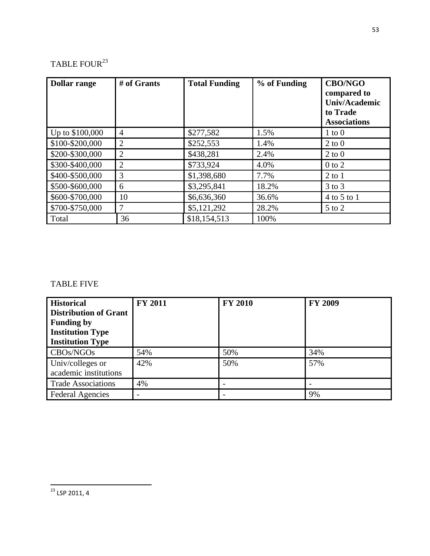# TABLE FOUR $^{23}$

| <b>Dollar range</b> | # of Grants    | <b>Total Funding</b> | % of Funding | <b>CBO/NGO</b><br>compared to<br>Univ/Academic<br>to Trade<br><b>Associations</b> |
|---------------------|----------------|----------------------|--------------|-----------------------------------------------------------------------------------|
| Up to \$100,000     | 4              | \$277,582            | 1.5%         | $1 \text{ to } 0$                                                                 |
| \$100-\$200,000     | $\overline{2}$ | \$252,553            | 1.4%         | $2$ to $0$                                                                        |
| \$200-\$300,000     | $\overline{2}$ | \$438,281            | 2.4%         | $2$ to $0$                                                                        |
| \$300-\$400,000     | $\overline{2}$ | \$733,924            | 4.0%         | $0$ to $2$                                                                        |
| \$400-\$500,000     | 3              | \$1,398,680          | 7.7%         | $2$ to $1$                                                                        |
| \$500-\$600,000     | 6              | \$3,295,841          | 18.2%        | $3$ to $3$                                                                        |
| \$600-\$700,000     | 10             | \$6,636,360          | 36.6%        | 4 to 5 to 1                                                                       |
| \$700-\$750,000     | 7              | \$5,121,292          | 28.2%        | $5$ to $2$                                                                        |
| Total               | 36             | \$18,154,513         | 100%         |                                                                                   |

### TABLE FIVE

| <b>Historical</b><br><b>Distribution of Grant</b><br><b>Funding by</b><br><b>Institution Type</b><br><b>Institution Type</b> | <b>FY 2011</b> | <b>FY 2010</b> | <b>FY 2009</b> |
|------------------------------------------------------------------------------------------------------------------------------|----------------|----------------|----------------|
| CBOs/NGOs                                                                                                                    | 54%            | 50%            | 34%            |
| Univ/colleges or<br>academic institutions                                                                                    | 42%            | 50%            | 57%            |
| <b>Trade Associations</b>                                                                                                    | 4%             |                |                |
| <b>Federal Agencies</b>                                                                                                      |                |                | 9%             |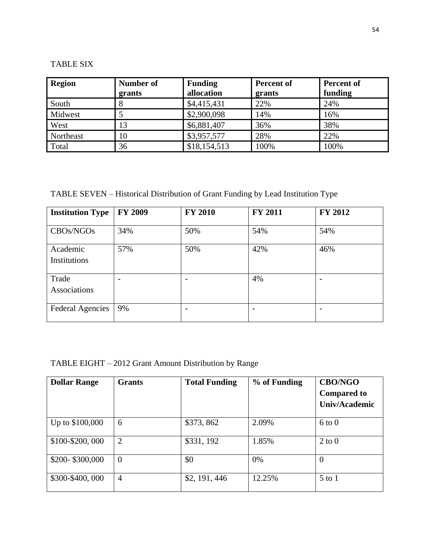# TABLE SIX

| <b>Region</b> | Number of<br>grants | <b>Funding</b><br>allocation | <b>Percent of</b><br>grants | Percent of<br>funding |
|---------------|---------------------|------------------------------|-----------------------------|-----------------------|
| South         | ð                   | \$4,415,431                  | 22%                         | 24%                   |
| Midwest       |                     | \$2,900,098                  | 14%                         | 16%                   |
| West          | 13                  | \$6,881,407                  | 36%                         | 38%                   |
| Northeast     | 10                  | \$3,957,577                  | 28%                         | 22%                   |
| Total         | 36                  | \$18,154,513                 | 100%                        | 100%                  |

TABLE SEVEN – Historical Distribution of Grant Funding by Lead Institution Type

| <b>Institution Type</b>            | <b>FY 2009</b> | <b>FY 2010</b> | <b>FY 2011</b> | FY 2012 |
|------------------------------------|----------------|----------------|----------------|---------|
| CBO <sub>s</sub> /NGO <sub>s</sub> | 34%            | 50%            | 54%            | 54%     |
| Academic<br>Institutions           | 57%            | 50%            | 42%            | 46%     |
| Trade<br>Associations              |                |                | 4%             |         |
| <b>Federal Agencies</b>            | 9%             |                |                |         |

TABLE EIGHT – 2012 Grant Amount Distribution by Range

| <b>Dollar Range</b> | <b>Grants</b>  | <b>Total Funding</b> | % of Funding | <b>CBO/NGO</b><br><b>Compared to</b><br>Univ/Academic |
|---------------------|----------------|----------------------|--------------|-------------------------------------------------------|
| Up to \$100,000     | 6              | \$373,862            | 2.09%        | $6 \text{ to } 0$                                     |
| \$100-\$200,000     | $\overline{2}$ | \$331, 192           | 1.85%        | $2 \text{ to } 0$                                     |
| \$200-\$300,000     | $\overline{0}$ | \$0                  | $0\%$        | $\theta$                                              |
| \$300-\$400,000     | $\overline{4}$ | \$2, 191, 446        | 12.25%       | $5$ to $1$                                            |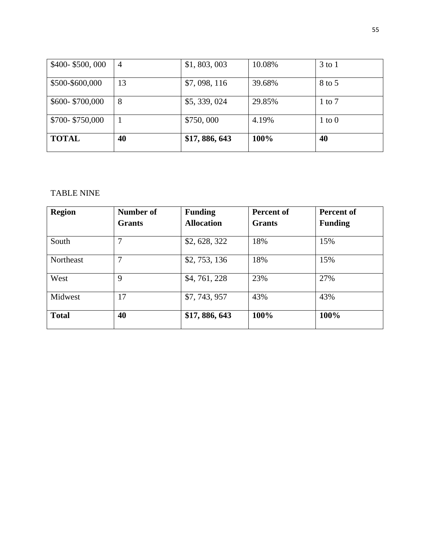| \$400-\$500,000 | $\overline{4}$ | \$1, 803, 003 | 10.08% | $3$ to $1$ |
|-----------------|----------------|---------------|--------|------------|
| \$500-\$600,000 | 13             | \$7,098,116   | 39.68% | 8 to 5     |
| \$600-\$700,000 | 8              | \$5,339,024   | 29.85% | $1$ to $7$ |
| \$700-\$750,000 | 1              | \$750,000     | 4.19%  | $1$ to $0$ |
| <b>TOTAL</b>    | 40             | \$17,886,643  | 100%   | 40         |

# TABLE NINE

| <b>Region</b> | Number of     | <b>Funding</b>    | <b>Percent of</b> | Percent of     |
|---------------|---------------|-------------------|-------------------|----------------|
|               | <b>Grants</b> | <b>Allocation</b> | <b>Grants</b>     | <b>Funding</b> |
| South         | 7             | \$2, 628, 322     | 18%               | 15%            |
| Northeast     | 7             | \$2,753,136       | 18%               | 15%            |
| West          | 9             | \$4,761,228       | 23%               | 27%            |
| Midwest       | 17            | \$7,743,957       | 43%               | 43%            |
| <b>Total</b>  | 40            | \$17,886,643      | 100%              | 100%           |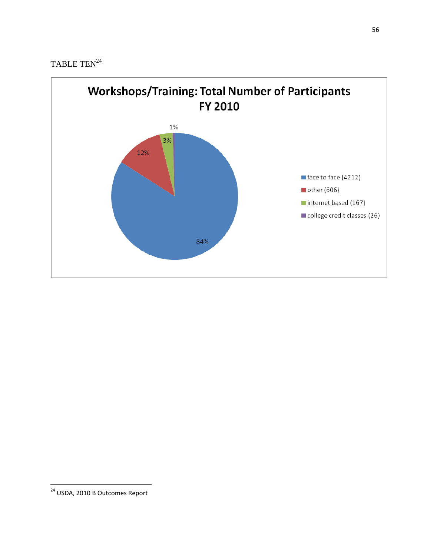

<sup>&</sup>lt;sup>24</sup> USDA, 2010 B Outcomes Report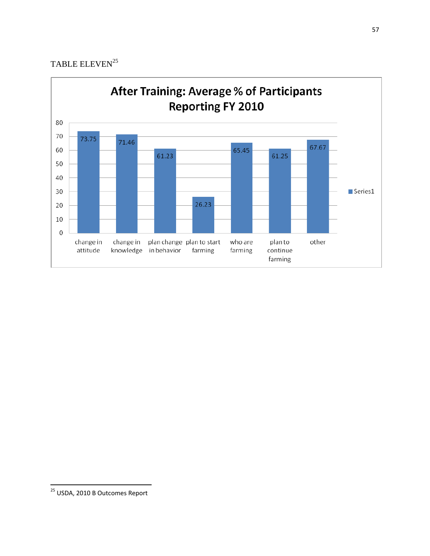## TABLE ELEVEN $^{25}$



<sup>&</sup>lt;sup>25</sup> USDA, 2010 B Outcomes Report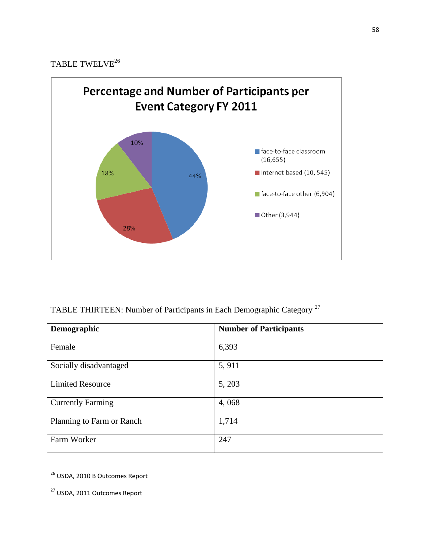# TABLE TWELVE<sup>26</sup>



# TABLE THIRTEEN: Number of Participants in Each Demographic Category <sup>27</sup>

| Demographic               | <b>Number of Participants</b> |
|---------------------------|-------------------------------|
| Female                    | 6,393                         |
| Socially disadvantaged    | 5,911                         |
| <b>Limited Resource</b>   | 5, 203                        |
| <b>Currently Farming</b>  | 4,068                         |
| Planning to Farm or Ranch | 1,714                         |
| Farm Worker               | 247                           |

<sup>&</sup>lt;sup>26</sup> USDA, 2010 B Outcomes Report

l

<sup>27</sup> USDA, 2011 Outcomes Report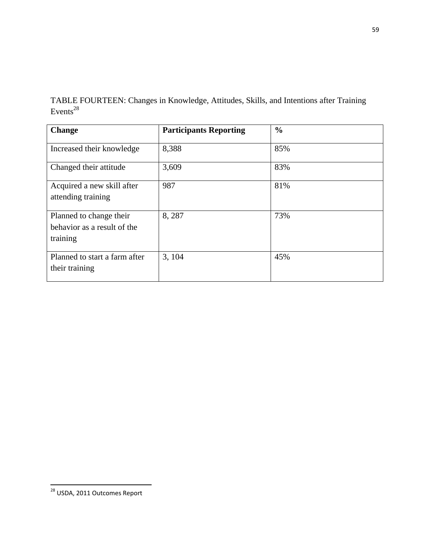TABLE FOURTEEN: Changes in Knowledge, Attitudes, Skills, and Intentions after Training Events<sup>28</sup>

| <b>Change</b>                                                      | <b>Participants Reporting</b> | $\frac{6}{9}$ |
|--------------------------------------------------------------------|-------------------------------|---------------|
| Increased their knowledge                                          | 8,388                         | 85%           |
| Changed their attitude                                             | 3,609                         | 83%           |
| Acquired a new skill after<br>attending training                   | 987                           | 81%           |
| Planned to change their<br>behavior as a result of the<br>training | 8,287                         | 73%           |
| Planned to start a farm after<br>their training                    | 3, 104                        | 45%           |

<sup>59</sup>

<sup>&</sup>lt;sup>28</sup> USDA, 2011 Outcomes Report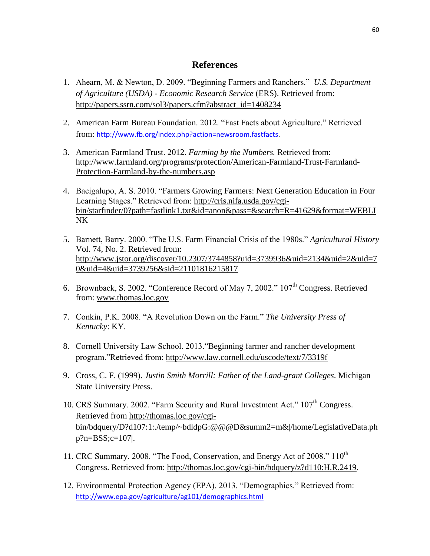### **References**

- 1. Ahearn, M. & Newton, D. 2009. "Beginning Farmers and Ranchers." *U.S. Department of Agriculture (USDA) - Economic Research Service* (ERS). Retrieved from: [http://papers.ssrn.com/sol3/papers.cfm?abstract\\_id=1408234](http://papers.ssrn.com/sol3/papers.cfm?abstract_id=1408234)
- 2. American Farm Bureau Foundation. 2012. "Fast Facts about Agriculture." Retrieved from: [http://www.fb.org/index.php?action=newsroom.fastfacts.](http://www.fb.org/index.php?action=newsroom.fastfacts)
- 3. American Farmland Trust. 2012. *Farming by the Numbers.* Retrieved from: [http://www.farmland.org/programs/protection/American-Farmland-Trust-Farmland-](http://www.farmland.org/programs/protection/American-Farmland-Trust-Farmland-Protection-Farmland-by-the-numbers.asp)[Protection-Farmland-by-the-numbers.asp](http://www.farmland.org/programs/protection/American-Farmland-Trust-Farmland-Protection-Farmland-by-the-numbers.asp)
- 4. Bacigalupo, A. S. 2010. "Farmers Growing Farmers: Next Generation Education in Four Learning Stages." Retrieved from: [http://cris.nifa.usda.gov/cgi](http://cris.nifa.usda.gov/cgi-bin/starfinder/0?path=fastlink1.txt&id=anon&pass=&search=R=41629&format=WEBLINK)[bin/starfinder/0?path=fastlink1.txt&id=anon&pass=&search=R=41629&format=WEBLI](http://cris.nifa.usda.gov/cgi-bin/starfinder/0?path=fastlink1.txt&id=anon&pass=&search=R=41629&format=WEBLINK) [NK](http://cris.nifa.usda.gov/cgi-bin/starfinder/0?path=fastlink1.txt&id=anon&pass=&search=R=41629&format=WEBLINK)
- 5. Barnett, Barry. 2000. "The U.S. Farm Financial Crisis of the 1980s." *Agricultural History* Vol. 74, No. 2. Retrieved from: [http://www.jstor.org/discover/10.2307/3744858?uid=3739936&uid=2134&uid=2&uid=7](http://www.jstor.org/discover/10.2307/3744858?uid=3739936&uid=2134&uid=2&uid=70&uid=4&uid=3739256&sid=21101816215817) [0&uid=4&uid=3739256&sid=21101816215817](http://www.jstor.org/discover/10.2307/3744858?uid=3739936&uid=2134&uid=2&uid=70&uid=4&uid=3739256&sid=21101816215817)
- 6. Brownback, S. 2002. "Conference Record of May 7, 2002." 107th Congress. Retrieved from: [www.thomas.loc.gov](http://www.thomas.loc.gov/)
- 7. Conkin, P.K. 2008. "A Revolution Down on the Farm." *The University Press of Kentucky*: KY.
- 8. Cornell University Law School. 2013."Beginning farmer and rancher development program."Retrieved from: <http://www.law.cornell.edu/uscode/text/7/3319f>
- 9. Cross, C. F. (1999). *Justin Smith Morrill: Father of the Land-grant Colleges*. Michigan State University Press.
- 10. CRS Summary. 2002. "Farm Security and Rural Investment Act."  $107<sup>th</sup>$  Congress. Retrieved from [http://thomas.loc.gov/cgi](http://thomas.loc.gov/cgi-bin/bdquery/D?d107:1:./temp/~bdldpG:@@@D&summ2=m&|/home/LegislativeData.php?n=BSS;c=107|)[bin/bdquery/D?d107:1:./temp/~bdldpG:@@@D&summ2=m&|/home/LegislativeData.ph](http://thomas.loc.gov/cgi-bin/bdquery/D?d107:1:./temp/~bdldpG:@@@D&summ2=m&|/home/LegislativeData.php?n=BSS;c=107|) [p?n=BSS;c=107|.](http://thomas.loc.gov/cgi-bin/bdquery/D?d107:1:./temp/~bdldpG:@@@D&summ2=m&|/home/LegislativeData.php?n=BSS;c=107|)
- 11. CRC Summary. 2008. "The Food, Conservation, and Energy Act of 2008." 110<sup>th</sup> Congress. Retrieved from: [http://thomas.loc.gov/cgi-bin/bdquery/z?d110:H.R.2419.](http://thomas.loc.gov/cgi-bin/bdquery/z?d110:H.R.2419)
- 12. Environmental Protection Agency (EPA). 2013. "Demographics." Retrieved from: <http://www.epa.gov/agriculture/ag101/demographics.html>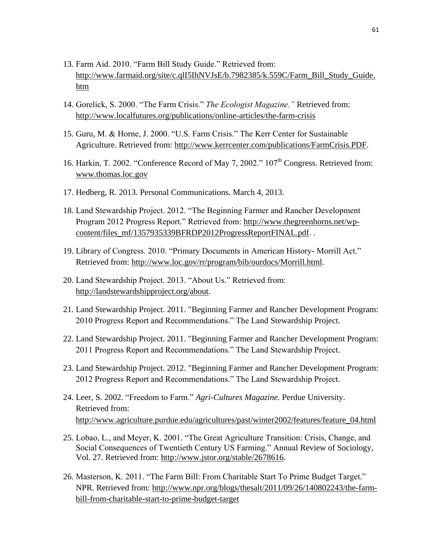- 13. Farm Aid. 2010. "Farm Bill Study Guide." Retrieved from: [http://www.farmaid.org/site/c.qlI5IhNVJsE/b.7982385/k.559C/Farm\\_Bill\\_Study\\_Guide.](http://www.farmaid.org/site/c.qlI5IhNVJsE/b.7982385/k.559C/Farm_Bill_Study_Guide.htm) [htm](http://www.farmaid.org/site/c.qlI5IhNVJsE/b.7982385/k.559C/Farm_Bill_Study_Guide.htm)
- 14. Gorelick, S. 2000. "The Farm Crisis." *The Ecologist Magazine."* Retrieved from: <http://www.localfutures.org/publications/online-articles/the-farm-crisis>
- 15. Guru, M. & Horne, J. 2000. "U.S. Farm Crisis." The Kerr Center for Sustainable Agriculture. Retrieved from: [http://www.kerrcenter.com/publications/FarmCrisis.PDF.](http://www.kerrcenter.com/publications/FarmCrisis.PDF)
- 16. Harkin, T. 2002. "Conference Record of May 7, 2002." 107<sup>th</sup> Congress. Retrieved from: [www.thomas.loc.gov](http://www.thomas.loc.gov/)
- 17. Hedberg, R. 2013. Personal Communications. March 4, 2013.
- 18. Land Stewardship Project. 2012. "The Beginning Farmer and Rancher Development Program 2012 Progress Report." Retrieved from: [http://www.thegreenhorns.net/wp](http://www.thegreenhorns.net/wp-content/files_mf/1357935339BFRDP2012ProgressReportFINAL.pdf)[content/files\\_mf/1357935339BFRDP2012ProgressReportFINAL.pdf.](http://www.thegreenhorns.net/wp-content/files_mf/1357935339BFRDP2012ProgressReportFINAL.pdf) .
- 19. Library of Congress. 2010. "Primary Documents in American History- Morrill Act." Retrieved from: [http://www.loc.gov/rr/program/bib/ourdocs/Morrill.html.](http://www.loc.gov/rr/program/bib/ourdocs/Morrill.html)
- 20. Land Stewardship Project. 2013. "About Us." Retrieved from: [http://landstewardshipproject.org/about.](http://landstewardshipproject.org/about)
- 21. Land Stewardship Project. 2011. "Beginning Farmer and Rancher Development Program: 2010 Progress Report and Recommendations." The Land Stewardship Project.
- 22. Land Stewardship Project. 2011. "Beginning Farmer and Rancher Development Program: 2011 Progress Report and Recommendations." The Land Stewardship Project.
- 23. Land Stewardship Project. 2012. "Beginning Farmer and Rancher Development Program: 2012 Progress Report and Recommendations." The Land Stewardship Project.
- 24. Leer, S. 2002. "Freedom to Farm." *Agri-Cultures Magazine.* Perdue University. Retrieved from: [http://www.agriculture.purdue.edu/agricultures/past/winter2002/features/feature\\_04.html](http://www.agriculture.purdue.edu/agricultures/past/winter2002/features/feature_04.html)
- 25. Lobao, L., and Meyer, K. 2001. "The Great Agriculture Transition: Crisis, Change, and Social Consequences of Twentieth Century US Farming." Annual Review of Sociology, Vol. 27. Retrieved from: [http://www.jstor.org/stable/2678616.](http://www.jstor.org/stable/2678616)
- 26. Masterson, K. 2011. "The Farm Bill: From Charitable Start To Prime Budget Target." NPR. Retrieved from: [http://www.npr.org/blogs/thesalt/2011/09/26/140802243/the-farm](http://www.npr.org/blogs/thesalt/2011/09/26/140802243/the-farm-bill-from-charitable-start-to-prime-budget-target)[bill-from-charitable-start-to-prime-budget-target](http://www.npr.org/blogs/thesalt/2011/09/26/140802243/the-farm-bill-from-charitable-start-to-prime-budget-target)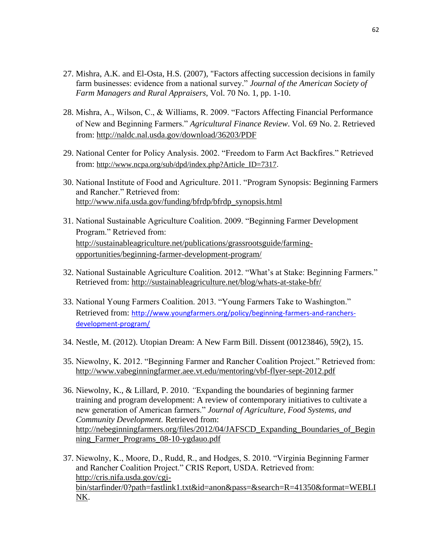- 27. Mishra, A.K. and El-Osta, H.S. (2007), "Factors affecting succession decisions in family farm businesses: evidence from a national survey." *Journal of the American Society of Farm Managers and Rural Appraisers*, Vol. 70 No. 1, pp. 1-10.
- 28. Mishra, A., Wilson, C., & Williams, R. 2009. "Factors Affecting Financial Performance of New and Beginning Farmers." *Agricultural Finance Review*. Vol. 69 No. 2. Retrieved from:<http://naldc.nal.usda.gov/download/36203/PDF>
- 29. National Center for Policy Analysis. 2002. "Freedom to Farm Act Backfires." Retrieved from: [http://www.ncpa.org/sub/dpd/index.php?Article\\_ID=7317.](http://www.ncpa.org/sub/dpd/index.php?Article_ID=7317)
- 30. National Institute of Food and Agriculture. 2011. "Program Synopsis: Beginning Farmers and Rancher." Retrieved from: [http://www.nifa.usda.gov/funding/bfrdp/bfrdp\\_synopsis.html](http://www.nifa.usda.gov/funding/bfrdp/bfrdp_synopsis.html)
- 31. National Sustainable Agriculture Coalition. 2009. "Beginning Farmer Development Program." Retrieved from: [http://sustainableagriculture.net/publications/grassrootsguide/farming](http://sustainableagriculture.net/publications/grassrootsguide/farming-opportunities/beginning-farmer-development-program/)[opportunities/beginning-farmer-development-program/](http://sustainableagriculture.net/publications/grassrootsguide/farming-opportunities/beginning-farmer-development-program/)
- 32. National Sustainable Agriculture Coalition. 2012. "What's at Stake: Beginning Farmers." Retrieved from:<http://sustainableagriculture.net/blog/whats-at-stake-bfr/>
- 33. National Young Farmers Coalition. 2013. "Young Farmers Take to Washington." Retrieved from: [http://www.youngfarmers.org/policy/beginning-farmers-and-ranchers](http://www.youngfarmers.org/policy/beginning-farmers-and-ranchers-development-program/)[development-program/](http://www.youngfarmers.org/policy/beginning-farmers-and-ranchers-development-program/)
- 34. Nestle, M. (2012). Utopian Dream: A New Farm Bill. Dissent (00123846), 59(2), 15.
- 35. Niewolny, K. 2012. "Beginning Farmer and Rancher Coalition Project." Retrieved from: <http://www.vabeginningfarmer.aee.vt.edu/mentoring/vbf-flyer-sept-2012.pdf>
- 36. Niewolny, K., & Lillard, P. 2010. *"*Expanding the boundaries of beginning farmer training and program development: A review of contemporary initiatives to cultivate a new generation of American farmers." *Journal of Agriculture, Food Systems, and Community Development.* Retrieved from: [http://nebeginningfarmers.org/files/2012/04/JAFSCD\\_Expanding\\_Boundaries\\_of\\_Begin](http://nebeginningfarmers.org/files/2012/04/JAFSCD_Expanding_Boundaries_of_Beginning_Farmer_Programs_08-10-ygdauo.pdf) [ning\\_Farmer\\_Programs\\_08-10-ygdauo.pdf](http://nebeginningfarmers.org/files/2012/04/JAFSCD_Expanding_Boundaries_of_Beginning_Farmer_Programs_08-10-ygdauo.pdf)
- 37. Niewolny, K., Moore, D., Rudd, R., and Hodges, S. 2010. "Virginia Beginning Farmer and Rancher Coalition Project." CRIS Report, USDA. Retrieved from: [http://cris.nifa.usda.gov/cgi](http://cris.nifa.usda.gov/cgi-bin/starfinder/0?path=fastlink1.txt&id=anon&pass=&search=R=41350&format=WEBLINK)[bin/starfinder/0?path=fastlink1.txt&id=anon&pass=&search=R=41350&format=WEBLI](http://cris.nifa.usda.gov/cgi-bin/starfinder/0?path=fastlink1.txt&id=anon&pass=&search=R=41350&format=WEBLINK) [NK.](http://cris.nifa.usda.gov/cgi-bin/starfinder/0?path=fastlink1.txt&id=anon&pass=&search=R=41350&format=WEBLINK)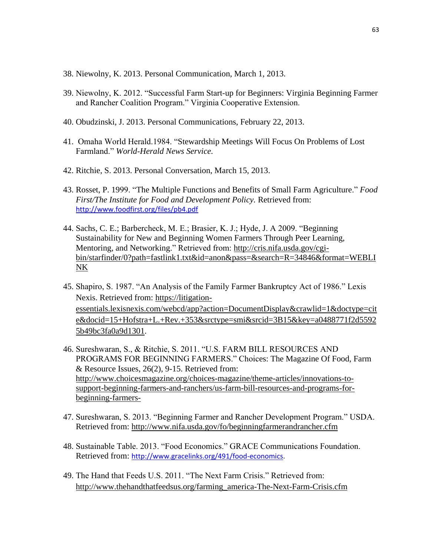- 38. Niewolny, K. 2013. Personal Communication, March 1, 2013.
- 39. Niewolny, K. 2012. "Successful Farm Start-up for Beginners: Virginia Beginning Farmer and Rancher Coalition Program." Virginia Cooperative Extension.
- 40. Obudzinski, J. 2013. Personal Communications, February 22, 2013.
- 41. Omaha World Herald.1984. "Stewardship Meetings Will Focus On Problems of Lost Farmland." *World-Herald News Service.*
- 42. Ritchie, S. 2013. Personal Conversation, March 15, 2013.
- 43. Rosset, P. 1999. "The Multiple Functions and Benefits of Small Farm Agriculture." *Food First/The Institute for Food and Development Policy.* Retrieved from: <http://www.foodfirst.org/files/pb4.pdf>
- 44. Sachs, C. E.; Barbercheck, M. E.; Brasier, K. J.; Hyde, J. A 2009. "Beginning Sustainability for New and Beginning Women Farmers Through Peer Learning, Mentoring, and Networking." Retrieved from: [http://cris.nifa.usda.gov/cgi](http://cris.nifa.usda.gov/cgi-bin/starfinder/0?path=fastlink1.txt&id=anon&pass=&search=R=34846&format=WEBLINK)[bin/starfinder/0?path=fastlink1.txt&id=anon&pass=&search=R=34846&format=WEBLI](http://cris.nifa.usda.gov/cgi-bin/starfinder/0?path=fastlink1.txt&id=anon&pass=&search=R=34846&format=WEBLINK) [NK](http://cris.nifa.usda.gov/cgi-bin/starfinder/0?path=fastlink1.txt&id=anon&pass=&search=R=34846&format=WEBLINK)
- 45. Shapiro, S. 1987. "An Analysis of the Family Farmer Bankruptcy Act of 1986." Lexis Nexis. Retrieved from: [https://litigation](https://litigation-essentials.lexisnexis.com/webcd/app?action=DocumentDisplay&crawlid=1&doctype=cite&docid=15+Hofstra+L.+Rev.+353&srctype=smi&srcid=3B15&key=a0488771f2d55925b49bc3fa0a9d1301)[essentials.lexisnexis.com/webcd/app?action=DocumentDisplay&crawlid=1&doctype=cit](https://litigation-essentials.lexisnexis.com/webcd/app?action=DocumentDisplay&crawlid=1&doctype=cite&docid=15+Hofstra+L.+Rev.+353&srctype=smi&srcid=3B15&key=a0488771f2d55925b49bc3fa0a9d1301) [e&docid=15+Hofstra+L.+Rev.+353&srctype=smi&srcid=3B15&key=a0488771f2d5592](https://litigation-essentials.lexisnexis.com/webcd/app?action=DocumentDisplay&crawlid=1&doctype=cite&docid=15+Hofstra+L.+Rev.+353&srctype=smi&srcid=3B15&key=a0488771f2d55925b49bc3fa0a9d1301) [5b49bc3fa0a9d1301.](https://litigation-essentials.lexisnexis.com/webcd/app?action=DocumentDisplay&crawlid=1&doctype=cite&docid=15+Hofstra+L.+Rev.+353&srctype=smi&srcid=3B15&key=a0488771f2d55925b49bc3fa0a9d1301)
- 46. Sureshwaran, S., & Ritchie, S. 2011. "U.S. FARM BILL RESOURCES AND PROGRAMS FOR BEGINNING FARMERS." Choices: The Magazine Of Food, Farm & Resource Issues, 26(2), 9-15. Retrieved from: [http://www.choicesmagazine.org/choices-magazine/theme-articles/innovations-to](http://www.choicesmagazine.org/choices-magazine/theme-articles/innovations-to-support-beginning-farmers-and-ranchers/us-farm-bill-resources-and-programs-for-beginning-farmers-)[support-beginning-farmers-and-ranchers/us-farm-bill-resources-and-programs-for](http://www.choicesmagazine.org/choices-magazine/theme-articles/innovations-to-support-beginning-farmers-and-ranchers/us-farm-bill-resources-and-programs-for-beginning-farmers-)[beginning-farmers-](http://www.choicesmagazine.org/choices-magazine/theme-articles/innovations-to-support-beginning-farmers-and-ranchers/us-farm-bill-resources-and-programs-for-beginning-farmers-)
- 47. Sureshwaran, S. 2013. "Beginning Farmer and Rancher Development Program." USDA. Retrieved from:<http://www.nifa.usda.gov/fo/beginningfarmerandrancher.cfm>
- 48. Sustainable Table. 2013. "Food Economics." GRACE Communications Foundation. Retrieved from: [http://www.gracelinks.org/491/food-economics.](http://www.gracelinks.org/491/food-economics)
- 49. The Hand that Feeds U.S. 2011. "The Next Farm Crisis." Retrieved from: [http://www.thehandthatfeedsus.org/farming\\_america-The-Next-Farm-Crisis.cfm](http://www.thehandthatfeedsus.org/farming_america-The-Next-Farm-Crisis.cfm)